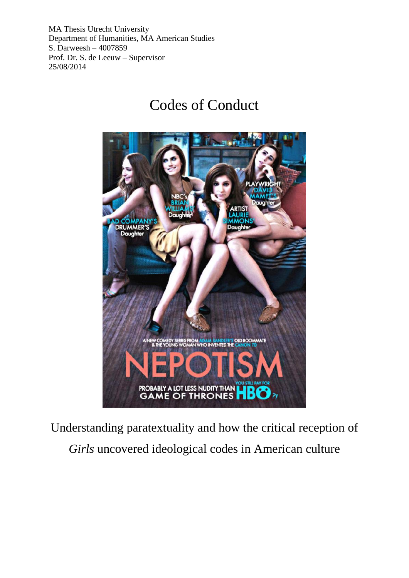MA Thesis Utrecht University Department of Humanities, MA American Studies S. Darweesh – 4007859 Prof. Dr. S. de Leeuw – Supervisor 25/08/2014

# Codes of Conduct



Understanding paratextuality and how the critical reception of

*Girls* uncovered ideological codes in American culture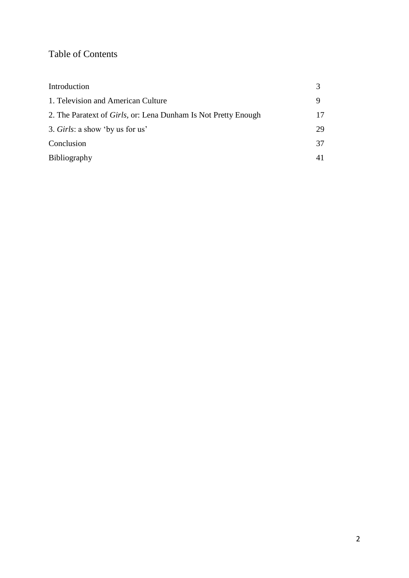## Table of Contents

| Introduction                                                           |    |
|------------------------------------------------------------------------|----|
| 1. Television and American Culture                                     |    |
| 2. The Paratext of <i>Girls</i> , or: Lena Dunham Is Not Pretty Enough | 17 |
| 3. Girls: a show 'by us for us'                                        | 29 |
| Conclusion                                                             | 37 |
| <b>Bibliography</b>                                                    | 41 |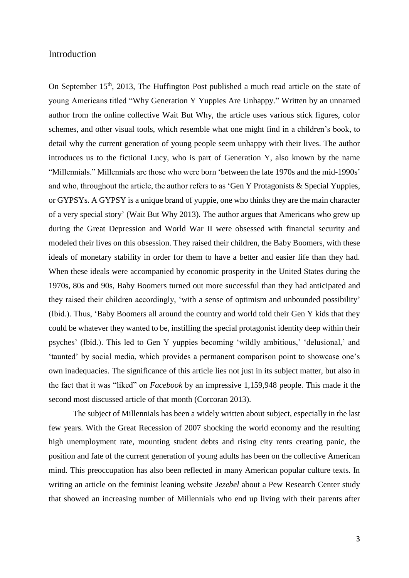#### Introduction

On September  $15<sup>th</sup>$ , 2013, The Huffington Post published a much read article on the state of young Americans titled "Why Generation Y Yuppies Are Unhappy." Written by an unnamed author from the online collective Wait But Why, the article uses various stick figures, color schemes, and other visual tools, which resemble what one might find in a children's book, to detail why the current generation of young people seem unhappy with their lives. The author introduces us to the fictional Lucy, who is part of Generation Y, also known by the name "Millennials." Millennials are those who were born 'between the late 1970s and the mid-1990s' and who, throughout the article, the author refers to as 'Gen Y Protagonists & Special Yuppies, or GYPSYs. A GYPSY is a unique brand of yuppie, one who thinks they are the main character of a very special story' (Wait But Why 2013). The author argues that Americans who grew up during the Great Depression and World War II were obsessed with financial security and modeled their lives on this obsession. They raised their children, the Baby Boomers, with these ideals of monetary stability in order for them to have a better and easier life than they had. When these ideals were accompanied by economic prosperity in the United States during the 1970s, 80s and 90s, Baby Boomers turned out more successful than they had anticipated and they raised their children accordingly, 'with a sense of optimism and unbounded possibility' (Ibid.). Thus, 'Baby Boomers all around the country and world told their Gen Y kids that they could be whatever they wanted to be, instilling the special protagonist identity deep within their psyches' (Ibid.). This led to Gen Y yuppies becoming 'wildly ambitious,' 'delusional,' and 'taunted' by social media, which provides a permanent comparison point to showcase one's own inadequacies. The significance of this article lies not just in its subject matter, but also in the fact that it was "liked" on *Facebook* by an impressive 1,159,948 people. This made it the second most discussed article of that month (Corcoran 2013).

The subject of Millennials has been a widely written about subject, especially in the last few years. With the Great Recession of 2007 shocking the world economy and the resulting high unemployment rate, mounting student debts and rising city rents creating panic, the position and fate of the current generation of young adults has been on the collective American mind. This preoccupation has also been reflected in many American popular culture texts. In writing an article on the feminist leaning website *Jezebel* about a Pew Research Center study that showed an increasing number of Millennials who end up living with their parents after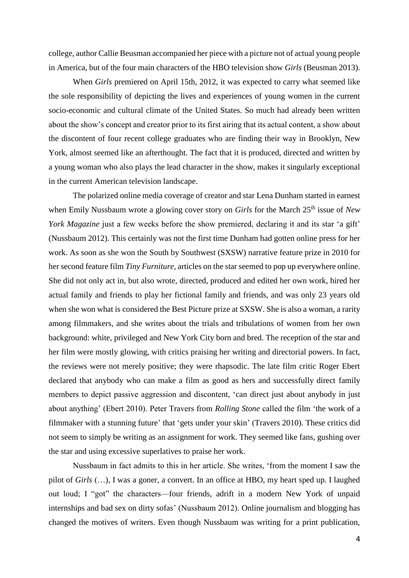college, author Callie Beusman accompanied her piece with a picture not of actual young people in America, but of the four main characters of the HBO television show *Girls* (Beusman 2013).

When *Girls* premiered on April 15th, 2012, it was expected to carry what seemed like the sole responsibility of depicting the lives and experiences of young women in the current socio-economic and cultural climate of the United States. So much had already been written about the show's concept and creator prior to its first airing that its actual content, a show about the discontent of four recent college graduates who are finding their way in Brooklyn, New York, almost seemed like an afterthought. The fact that it is produced, directed and written by a young woman who also plays the lead character in the show, makes it singularly exceptional in the current American television landscape.

The polarized online media coverage of creator and star Lena Dunham started in earnest when Emily Nussbaum wrote a glowing cover story on *Girls* for the March 25<sup>th</sup> issue of *New York Magazine* just a few weeks before the show premiered, declaring it and its star 'a gift' (Nussbaum 2012). This certainly was not the first time Dunham had gotten online press for her work. As soon as she won the South by Southwest (SXSW) narrative feature prize in 2010 for her second feature film *Tiny Furniture*, articles on the star seemed to pop up everywhere online. She did not only act in, but also wrote, directed, produced and edited her own work, hired her actual family and friends to play her fictional family and friends, and was only 23 years old when she won what is considered the Best Picture prize at SXSW. She is also a woman, a rarity among filmmakers, and she writes about the trials and tribulations of women from her own background: white, privileged and New York City born and bred. The reception of the star and her film were mostly glowing, with critics praising her writing and directorial powers. In fact, the reviews were not merely positive; they were rhapsodic. The late film critic Roger Ebert declared that anybody who can make a film as good as hers and successfully direct family members to depict passive aggression and discontent, 'can direct just about anybody in just about anything' (Ebert 2010). Peter Travers from *Rolling Stone* called the film 'the work of a filmmaker with a stunning future' that 'gets under your skin' (Travers 2010). These critics did not seem to simply be writing as an assignment for work. They seemed like fans, gushing over the star and using excessive superlatives to praise her work.

Nussbaum in fact admits to this in her article. She writes, 'from the moment I saw the pilot of *Girls* (…), I was a goner, a convert. In an office at HBO, my heart sped up. I laughed out loud; I "got" the characters—four friends, adrift in a modern New York of unpaid internships and bad sex on dirty sofas' (Nussbaum 2012). Online journalism and blogging has changed the motives of writers. Even though Nussbaum was writing for a print publication,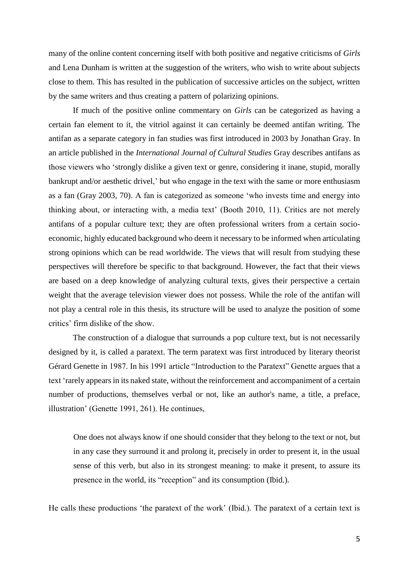many of the online content concerning itself with both positive and negative criticisms of *Girls* and Lena Dunham is written at the suggestion of the writers, who wish to write about subjects close to them. This has resulted in the publication of successive articles on the subject, written by the same writers and thus creating a pattern of polarizing opinions.

If much of the positive online commentary on *Girls* can be categorized as having a certain fan element to it, the vitriol against it can certainly be deemed antifan writing. The antifan as a separate category in fan studies was first introduced in 2003 by Jonathan Gray. In an article published in the *International Journal of Cultural Studies* Gray describes antifans as those viewers who 'strongly dislike a given text or genre, considering it inane, stupid, morally bankrupt and/or aesthetic drivel,' but who engage in the text with the same or more enthusiasm as a fan (Gray 2003, 70). A fan is categorized as someone 'who invests time and energy into thinking about, or interacting with, a media text' (Booth 2010, 11). Critics are not merely antifans of a popular culture text; they are often professional writers from a certain socioeconomic, highly educated background who deem it necessary to be informed when articulating strong opinions which can be read worldwide. The views that will result from studying these perspectives will therefore be specific to that background. However, the fact that their views are based on a deep knowledge of analyzing cultural texts, gives their perspective a certain weight that the average television viewer does not possess. While the role of the antifan will not play a central role in this thesis, its structure will be used to analyze the position of some critics' firm dislike of the show.

The construction of a dialogue that surrounds a pop culture text, but is not necessarily designed by it, is called a paratext. The term paratext was first introduced by literary theorist Gérard Genette in 1987. In his 1991 article "Introduction to the Paratext" Genette argues that a text 'rarely appears in its naked state, without the reinforcement and accompaniment of a certain number of productions, themselves verbal or not, like an author's name, a title, a preface, illustration' (Genette 1991, 261). He continues,

One does not always know if one should consider that they belong to the text or not, but in any case they surround it and prolong it, precisely in order to present it, in the usual sense of this verb, but also in its strongest meaning: to make it present, to assure its presence in the world, its "reception" and its consumption (Ibid.).

He calls these productions 'the paratext of the work' (Ibid.). The paratext of a certain text is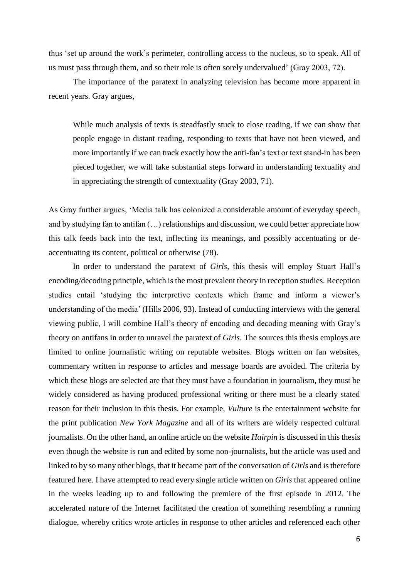thus 'set up around the work's perimeter, controlling access to the nucleus, so to speak. All of us must pass through them, and so their role is often sorely undervalued' (Gray 2003, 72).

The importance of the paratext in analyzing television has become more apparent in recent years. Gray argues,

While much analysis of texts is steadfastly stuck to close reading, if we can show that people engage in distant reading, responding to texts that have not been viewed, and more importantly if we can track exactly how the anti-fan's text or text stand-in has been pieced together, we will take substantial steps forward in understanding textuality and in appreciating the strength of contextuality (Gray 2003, 71).

As Gray further argues, 'Media talk has colonized a considerable amount of everyday speech, and by studying fan to antifan (…) relationships and discussion, we could better appreciate how this talk feeds back into the text, inflecting its meanings, and possibly accentuating or deaccentuating its content, political or otherwise (78).

In order to understand the paratext of *Girls*, this thesis will employ Stuart Hall's encoding/decoding principle, which is the most prevalent theory in reception studies. Reception studies entail 'studying the interpretive contexts which frame and inform a viewer's understanding of the media' (Hills 2006, 93). Instead of conducting interviews with the general viewing public, I will combine Hall's theory of encoding and decoding meaning with Gray's theory on antifans in order to unravel the paratext of *Girls*. The sources this thesis employs are limited to online journalistic writing on reputable websites. Blogs written on fan websites, commentary written in response to articles and message boards are avoided. The criteria by which these blogs are selected are that they must have a foundation in journalism, they must be widely considered as having produced professional writing or there must be a clearly stated reason for their inclusion in this thesis. For example, *Vulture* is the entertainment website for the print publication *New York Magazine* and all of its writers are widely respected cultural journalists. On the other hand, an online article on the website *Hairpin* is discussed in this thesis even though the website is run and edited by some non-journalists, but the article was used and linked to by so many other blogs, that it became part of the conversation of *Girls* and is therefore featured here. I have attempted to read every single article written on *Girls* that appeared online in the weeks leading up to and following the premiere of the first episode in 2012. The accelerated nature of the Internet facilitated the creation of something resembling a running dialogue, whereby critics wrote articles in response to other articles and referenced each other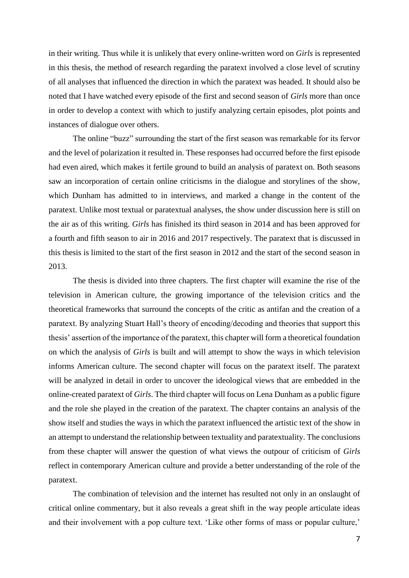in their writing. Thus while it is unlikely that every online-written word on *Girls* is represented in this thesis, the method of research regarding the paratext involved a close level of scrutiny of all analyses that influenced the direction in which the paratext was headed. It should also be noted that I have watched every episode of the first and second season of *Girls* more than once in order to develop a context with which to justify analyzing certain episodes, plot points and instances of dialogue over others.

The online "buzz" surrounding the start of the first season was remarkable for its fervor and the level of polarization it resulted in. These responses had occurred before the first episode had even aired, which makes it fertile ground to build an analysis of paratext on. Both seasons saw an incorporation of certain online criticisms in the dialogue and storylines of the show, which Dunham has admitted to in interviews, and marked a change in the content of the paratext. Unlike most textual or paratextual analyses, the show under discussion here is still on the air as of this writing. *Girls* has finished its third season in 2014 and has been approved for a fourth and fifth season to air in 2016 and 2017 respectively. The paratext that is discussed in this thesis is limited to the start of the first season in 2012 and the start of the second season in 2013.

The thesis is divided into three chapters. The first chapter will examine the rise of the television in American culture, the growing importance of the television critics and the theoretical frameworks that surround the concepts of the critic as antifan and the creation of a paratext. By analyzing Stuart Hall's theory of encoding/decoding and theories that support this thesis' assertion of the importance of the paratext, this chapter will form a theoretical foundation on which the analysis of *Girls* is built and will attempt to show the ways in which television informs American culture. The second chapter will focus on the paratext itself. The paratext will be analyzed in detail in order to uncover the ideological views that are embedded in the online-created paratext of *Girls*. The third chapter will focus on Lena Dunham as a public figure and the role she played in the creation of the paratext. The chapter contains an analysis of the show itself and studies the ways in which the paratext influenced the artistic text of the show in an attempt to understand the relationship between textuality and paratextuality. The conclusions from these chapter will answer the question of what views the outpour of criticism of *Girls* reflect in contemporary American culture and provide a better understanding of the role of the paratext.

The combination of television and the internet has resulted not only in an onslaught of critical online commentary, but it also reveals a great shift in the way people articulate ideas and their involvement with a pop culture text. 'Like other forms of mass or popular culture,'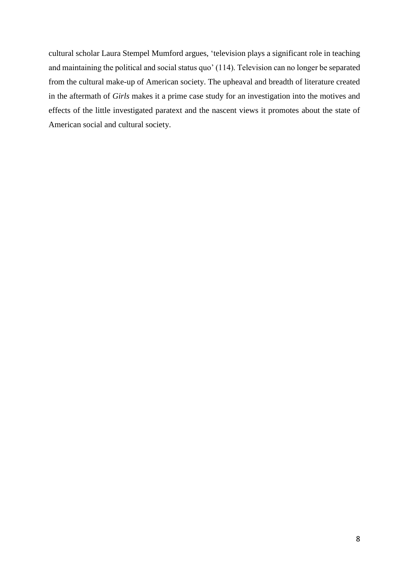cultural scholar Laura Stempel Mumford argues, 'television plays a significant role in teaching and maintaining the political and social status quo' (114). Television can no longer be separated from the cultural make-up of American society. The upheaval and breadth of literature created in the aftermath of *Girls* makes it a prime case study for an investigation into the motives and effects of the little investigated paratext and the nascent views it promotes about the state of American social and cultural society.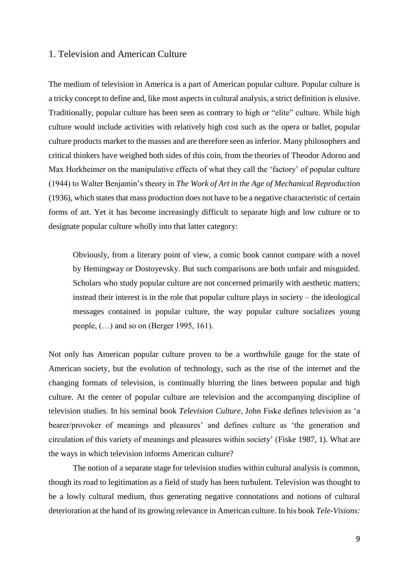### 1. Television and American Culture

The medium of television in America is a part of American popular culture. Popular culture is a tricky concept to define and, like most aspects in cultural analysis, a strict definition is elusive. Traditionally, popular culture has been seen as contrary to high or "elite" culture. While high culture would include activities with relatively high cost such as the opera or ballet, popular culture products market to the masses and are therefore seen as inferior. Many philosophers and critical thinkers have weighed both sides of this coin, from the theories of Theodor Adorno and Max Horkheimer on the manipulative effects of what they call the 'factory' of popular culture (1944) to Walter Benjamin's theory in *The Work of Art in the Age of Mechanical Reproduction*  (1936), which states that mass production does not have to be a negative characteristic of certain forms of art. Yet it has become increasingly difficult to separate high and low culture or to designate popular culture wholly into that latter category:

Obviously, from a literary point of view, a comic book cannot compare with a novel by Hemingway or Dostoyevsky. But such comparisons are both unfair and misguided. Scholars who study popular culture are not concerned primarily with aesthetic matters; instead their interest is in the role that popular culture plays in society – the ideological messages contained in popular culture, the way popular culture socializes young people, (…) and so on (Berger 1995, 161).

Not only has American popular culture proven to be a worthwhile gauge for the state of American society, but the evolution of technology, such as the rise of the internet and the changing formats of television, is continually blurring the lines between popular and high culture. At the center of popular culture are television and the accompanying discipline of television studies. In his seminal book *Television Culture*, John Fiske defines television as 'a bearer/provoker of meanings and pleasures' and defines culture as 'the generation and circulation of this variety of meanings and pleasures within society' (Fiske 1987, 1). What are the ways in which television informs American culture?

The notion of a separate stage for television studies within cultural analysis is common, though its road to legitimation as a field of study has been turbulent. Television was thought to be a lowly cultural medium, thus generating negative connotations and notions of cultural deterioration at the hand of its growing relevance in American culture. In his book *Tele-Visions:*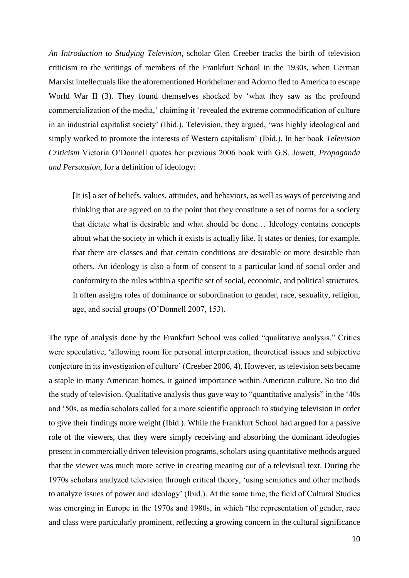*An Introduction to Studying Television,* scholar Glen Creeber tracks the birth of television criticism to the writings of members of the Frankfurt School in the 1930s, when German Marxist intellectuals like the aforementioned Horkheimer and Adorno fled to America to escape World War II (3). They found themselves shocked by 'what they saw as the profound commercialization of the media,' claiming it 'revealed the extreme commodification of culture in an industrial capitalist society' (Ibid.). Television, they argued, 'was highly ideological and simply worked to promote the interests of Western capitalism' (Ibid.). In her book *Television Criticism* Victoria O'Donnell quotes her previous 2006 book with G.S. Jowett, *Propaganda and Persuasion*, for a definition of ideology:

[It is] a set of beliefs, values, attitudes, and behaviors, as well as ways of perceiving and thinking that are agreed on to the point that they constitute a set of norms for a society that dictate what is desirable and what should be done… Ideology contains concepts about what the society in which it exists is actually like. It states or denies, for example, that there are classes and that certain conditions are desirable or more desirable than others. An ideology is also a form of consent to a particular kind of social order and conformity to the rules within a specific set of social, economic, and political structures. It often assigns roles of dominance or subordination to gender, race, sexuality, religion, age, and social groups (O'Donnell 2007, 153).

The type of analysis done by the Frankfurt School was called "qualitative analysis." Critics were speculative, 'allowing room for personal interpretation, theoretical issues and subjective conjecture in its investigation of culture' (Creeber 2006, 4). However, as television sets became a staple in many American homes, it gained importance within American culture. So too did the study of television. Qualitative analysis thus gave way to "quantitative analysis" in the '40s and '50s, as media scholars called for a more scientific approach to studying television in order to give their findings more weight (Ibid.). While the Frankfurt School had argued for a passive role of the viewers, that they were simply receiving and absorbing the dominant ideologies present in commercially driven television programs, scholars using quantitative methods argued that the viewer was much more active in creating meaning out of a televisual text. During the 1970s scholars analyzed television through critical theory, 'using semiotics and other methods to analyze issues of power and ideology' (Ibid.). At the same time, the field of Cultural Studies was emerging in Europe in the 1970s and 1980s, in which 'the representation of gender, race and class were particularly prominent, reflecting a growing concern in the cultural significance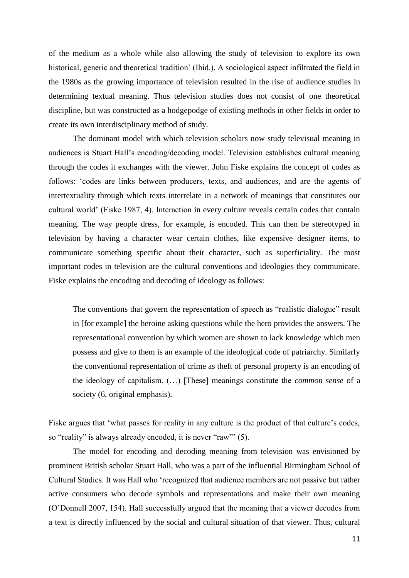of the medium as a whole while also allowing the study of television to explore its own historical, generic and theoretical tradition' (Ibid.). A sociological aspect infiltrated the field in the 1980s as the growing importance of television resulted in the rise of audience studies in determining textual meaning. Thus television studies does not consist of one theoretical discipline, but was constructed as a hodgepodge of existing methods in other fields in order to create its own interdisciplinary method of study.

The dominant model with which television scholars now study televisual meaning in audiences is Stuart Hall's encoding/decoding model. Television establishes cultural meaning through the codes it exchanges with the viewer. John Fiske explains the concept of codes as follows: 'codes are links between producers, texts, and audiences, and are the agents of intertextuality through which texts interrelate in a network of meanings that constitutes our cultural world' (Fiske 1987, 4). Interaction in every culture reveals certain codes that contain meaning. The way people dress, for example, is encoded. This can then be stereotyped in television by having a character wear certain clothes, like expensive designer items, to communicate something specific about their character, such as superficiality. The most important codes in television are the cultural conventions and ideologies they communicate. Fiske explains the encoding and decoding of ideology as follows:

The conventions that govern the representation of speech as "realistic dialogue" result in [for example] the heroine asking questions while the hero provides the answers. The representational convention by which women are shown to lack knowledge which men possess and give to them is an example of the ideological code of patriarchy. Similarly the conventional representation of crime as theft of personal property is an encoding of the ideology of capitalism. (…) [These] meanings constitute the *common sense* of a society (6, original emphasis).

Fiske argues that 'what passes for reality in any culture is the product of that culture's codes, so "reality" is always already encoded, it is never "raw"' (5).

The model for encoding and decoding meaning from television was envisioned by prominent British scholar Stuart Hall, who was a part of the influential Birmingham School of Cultural Studies. It was Hall who 'recognized that audience members are not passive but rather active consumers who decode symbols and representations and make their own meaning (O'Donnell 2007, 154). Hall successfully argued that the meaning that a viewer decodes from a text is directly influenced by the social and cultural situation of that viewer. Thus, cultural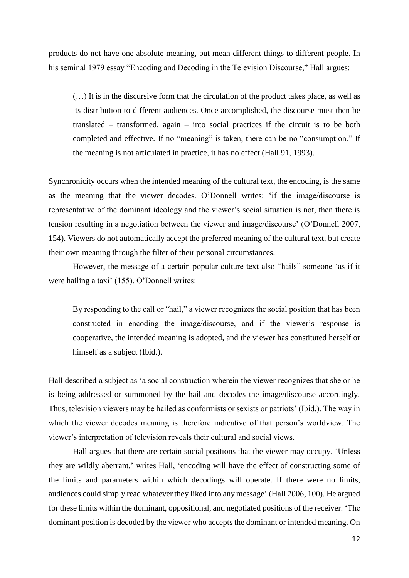products do not have one absolute meaning, but mean different things to different people. In his seminal 1979 essay "Encoding and Decoding in the Television Discourse," Hall argues:

(…) It is in the discursive form that the circulation of the product takes place, as well as its distribution to different audiences. Once accomplished, the discourse must then be translated – transformed, again – into social practices if the circuit is to be both completed and effective. If no "meaning" is taken, there can be no "consumption." If the meaning is not articulated in practice, it has no effect (Hall 91, 1993).

Synchronicity occurs when the intended meaning of the cultural text, the encoding, is the same as the meaning that the viewer decodes. O'Donnell writes: 'if the image/discourse is representative of the dominant ideology and the viewer's social situation is not, then there is tension resulting in a negotiation between the viewer and image/discourse' (O'Donnell 2007, 154). Viewers do not automatically accept the preferred meaning of the cultural text, but create their own meaning through the filter of their personal circumstances.

However, the message of a certain popular culture text also "hails" someone 'as if it were hailing a taxi' (155). O'Donnell writes:

By responding to the call or "hail," a viewer recognizes the social position that has been constructed in encoding the image/discourse, and if the viewer's response is cooperative, the intended meaning is adopted, and the viewer has constituted herself or himself as a subject (Ibid.).

Hall described a subject as 'a social construction wherein the viewer recognizes that she or he is being addressed or summoned by the hail and decodes the image/discourse accordingly. Thus, television viewers may be hailed as conformists or sexists or patriots' (Ibid.). The way in which the viewer decodes meaning is therefore indicative of that person's worldview. The viewer's interpretation of television reveals their cultural and social views.

Hall argues that there are certain social positions that the viewer may occupy. 'Unless they are wildly aberrant,' writes Hall, 'encoding will have the effect of constructing some of the limits and parameters within which decodings will operate. If there were no limits, audiences could simply read whatever they liked into any message' (Hall 2006, 100). He argued for these limits within the dominant, oppositional, and negotiated positions of the receiver. 'The dominant position is decoded by the viewer who accepts the dominant or intended meaning. On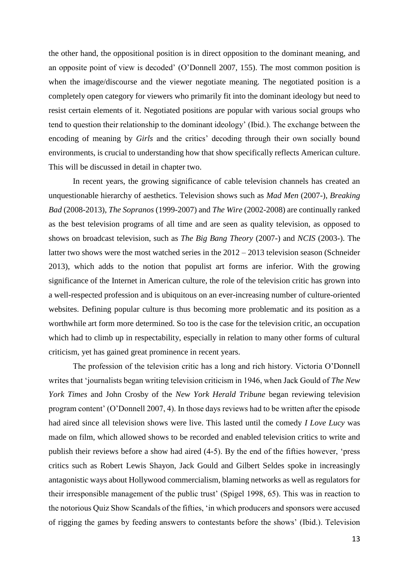the other hand, the oppositional position is in direct opposition to the dominant meaning, and an opposite point of view is decoded' (O'Donnell 2007, 155). The most common position is when the image/discourse and the viewer negotiate meaning. The negotiated position is a completely open category for viewers who primarily fit into the dominant ideology but need to resist certain elements of it. Negotiated positions are popular with various social groups who tend to question their relationship to the dominant ideology' (Ibid.). The exchange between the encoding of meaning by *Girls* and the critics' decoding through their own socially bound environments, is crucial to understanding how that show specifically reflects American culture. This will be discussed in detail in chapter two.

In recent years, the growing significance of cable television channels has created an unquestionable hierarchy of aesthetics. Television shows such as *Mad Men* (2007-), *Breaking Bad* (2008-2013), *The Sopranos* (1999-2007) and *The Wire* (2002-2008) are continually ranked as the best television programs of all time and are seen as quality television, as opposed to shows on broadcast television, such as *The Big Bang Theory* (2007-) and *NCIS* (2003-). The latter two shows were the most watched series in the 2012 – 2013 television season (Schneider 2013), which adds to the notion that populist art forms are inferior. With the growing significance of the Internet in American culture, the role of the television critic has grown into a well-respected profession and is ubiquitous on an ever-increasing number of culture-oriented websites. Defining popular culture is thus becoming more problematic and its position as a worthwhile art form more determined. So too is the case for the television critic, an occupation which had to climb up in respectability, especially in relation to many other forms of cultural criticism, yet has gained great prominence in recent years.

The profession of the television critic has a long and rich history. Victoria O'Donnell writes that 'journalists began writing television criticism in 1946, when Jack Gould of *The New York Times* and John Crosby of the *New York Herald Tribune* began reviewing television program content' (O'Donnell 2007, 4). In those days reviews had to be written after the episode had aired since all television shows were live. This lasted until the comedy *I Love Lucy* was made on film, which allowed shows to be recorded and enabled television critics to write and publish their reviews before a show had aired (4-5). By the end of the fifties however, 'press critics such as Robert Lewis Shayon, Jack Gould and Gilbert Seldes spoke in increasingly antagonistic ways about Hollywood commercialism, blaming networks as well as regulators for their irresponsible management of the public trust' (Spigel 1998, 65). This was in reaction to the notorious Quiz Show Scandals of the fifties, 'in which producers and sponsors were accused of rigging the games by feeding answers to contestants before the shows' (Ibid.). Television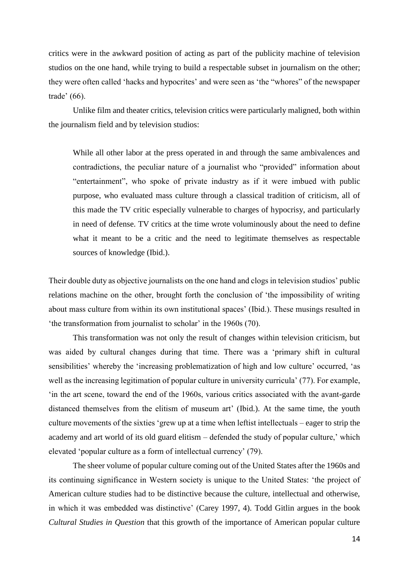critics were in the awkward position of acting as part of the publicity machine of television studios on the one hand, while trying to build a respectable subset in journalism on the other; they were often called 'hacks and hypocrites' and were seen as 'the "whores" of the newspaper trade' (66).

Unlike film and theater critics, television critics were particularly maligned, both within the journalism field and by television studios:

While all other labor at the press operated in and through the same ambivalences and contradictions, the peculiar nature of a journalist who "provided" information about "entertainment", who spoke of private industry as if it were imbued with public purpose, who evaluated mass culture through a classical tradition of criticism, all of this made the TV critic especially vulnerable to charges of hypocrisy, and particularly in need of defense. TV critics at the time wrote voluminously about the need to define what it meant to be a critic and the need to legitimate themselves as respectable sources of knowledge (Ibid.).

Their double duty as objective journalists on the one hand and clogs in television studios' public relations machine on the other, brought forth the conclusion of 'the impossibility of writing about mass culture from within its own institutional spaces' (Ibid.). These musings resulted in 'the transformation from journalist to scholar' in the 1960s (70).

This transformation was not only the result of changes within television criticism, but was aided by cultural changes during that time. There was a 'primary shift in cultural sensibilities' whereby the 'increasing problematization of high and low culture' occurred, 'as well as the increasing legitimation of popular culture in university curricula' (77). For example, 'in the art scene, toward the end of the 1960s, various critics associated with the avant-garde distanced themselves from the elitism of museum art' (Ibid.). At the same time, the youth culture movements of the sixties 'grew up at a time when leftist intellectuals – eager to strip the academy and art world of its old guard elitism – defended the study of popular culture,' which elevated 'popular culture as a form of intellectual currency' (79).

The sheer volume of popular culture coming out of the United States after the 1960s and its continuing significance in Western society is unique to the United States: 'the project of American culture studies had to be distinctive because the culture, intellectual and otherwise, in which it was embedded was distinctive' (Carey 1997, 4). Todd Gitlin argues in the book *Cultural Studies in Question* that this growth of the importance of American popular culture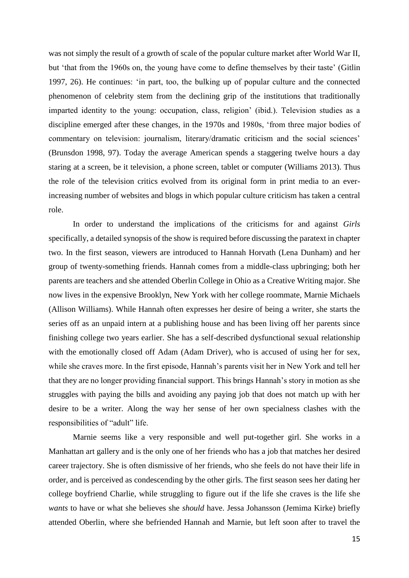was not simply the result of a growth of scale of the popular culture market after World War II, but 'that from the 1960s on, the young have come to define themselves by their taste' (Gitlin 1997, 26). He continues: 'in part, too, the bulking up of popular culture and the connected phenomenon of celebrity stem from the declining grip of the institutions that traditionally imparted identity to the young: occupation, class, religion' (ibid.). Television studies as a discipline emerged after these changes, in the 1970s and 1980s, 'from three major bodies of commentary on television: journalism, literary/dramatic criticism and the social sciences' (Brunsdon 1998, 97). Today the average American spends a staggering twelve hours a day staring at a screen, be it television, a phone screen, tablet or computer (Williams 2013). Thus the role of the television critics evolved from its original form in print media to an everincreasing number of websites and blogs in which popular culture criticism has taken a central role.

In order to understand the implications of the criticisms for and against *Girls* specifically, a detailed synopsis of the show is required before discussing the paratext in chapter two. In the first season, viewers are introduced to Hannah Horvath (Lena Dunham) and her group of twenty-something friends. Hannah comes from a middle-class upbringing; both her parents are teachers and she attended Oberlin College in Ohio as a Creative Writing major. She now lives in the expensive Brooklyn, New York with her college roommate, Marnie Michaels (Allison Williams). While Hannah often expresses her desire of being a writer, she starts the series off as an unpaid intern at a publishing house and has been living off her parents since finishing college two years earlier. She has a self-described dysfunctional sexual relationship with the emotionally closed off Adam (Adam Driver), who is accused of using her for sex, while she craves more. In the first episode, Hannah's parents visit her in New York and tell her that they are no longer providing financial support. This brings Hannah's story in motion as she struggles with paying the bills and avoiding any paying job that does not match up with her desire to be a writer. Along the way her sense of her own specialness clashes with the responsibilities of "adult" life.

Marnie seems like a very responsible and well put-together girl. She works in a Manhattan art gallery and is the only one of her friends who has a job that matches her desired career trajectory. She is often dismissive of her friends, who she feels do not have their life in order, and is perceived as condescending by the other girls. The first season sees her dating her college boyfriend Charlie, while struggling to figure out if the life she craves is the life she *wants* to have or what she believes she *should* have. Jessa Johansson (Jemima Kirke) briefly attended Oberlin, where she befriended Hannah and Marnie, but left soon after to travel the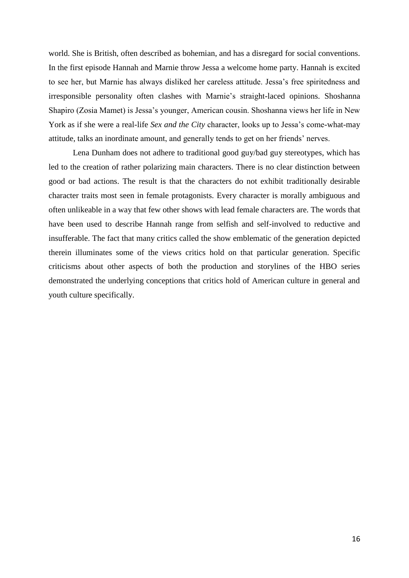world. She is British, often described as bohemian, and has a disregard for social conventions. In the first episode Hannah and Marnie throw Jessa a welcome home party. Hannah is excited to see her, but Marnie has always disliked her careless attitude. Jessa's free spiritedness and irresponsible personality often clashes with Marnie's straight-laced opinions. Shoshanna Shapiro (Zosia Mamet) is Jessa's younger, American cousin. Shoshanna views her life in New York as if she were a real-life *Sex and the City* character, looks up to Jessa's come-what-may attitude, talks an inordinate amount, and generally tends to get on her friends' nerves.

Lena Dunham does not adhere to traditional good guy/bad guy stereotypes, which has led to the creation of rather polarizing main characters. There is no clear distinction between good or bad actions. The result is that the characters do not exhibit traditionally desirable character traits most seen in female protagonists. Every character is morally ambiguous and often unlikeable in a way that few other shows with lead female characters are. The words that have been used to describe Hannah range from selfish and self-involved to reductive and insufferable. The fact that many critics called the show emblematic of the generation depicted therein illuminates some of the views critics hold on that particular generation. Specific criticisms about other aspects of both the production and storylines of the HBO series demonstrated the underlying conceptions that critics hold of American culture in general and youth culture specifically.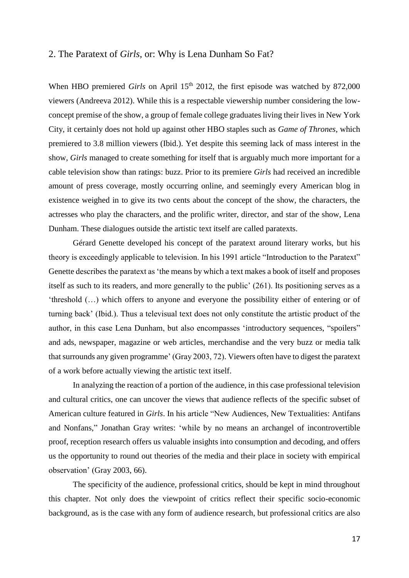#### 2. The Paratext of *Girls,* or: Why is Lena Dunham So Fat?

When HBO premiered *Girls* on April 15<sup>th</sup> 2012, the first episode was watched by 872,000 viewers (Andreeva 2012). While this is a respectable viewership number considering the lowconcept premise of the show, a group of female college graduates living their lives in New York City, it certainly does not hold up against other HBO staples such as *Game of Thrones*, which premiered to 3.8 million viewers (Ibid.). Yet despite this seeming lack of mass interest in the show, *Girls* managed to create something for itself that is arguably much more important for a cable television show than ratings: buzz. Prior to its premiere *Girls* had received an incredible amount of press coverage, mostly occurring online, and seemingly every American blog in existence weighed in to give its two cents about the concept of the show, the characters, the actresses who play the characters, and the prolific writer, director, and star of the show, Lena Dunham. These dialogues outside the artistic text itself are called paratexts.

Gérard Genette developed his concept of the paratext around literary works, but his theory is exceedingly applicable to television. In his 1991 article "Introduction to the Paratext" Genette describes the paratext as 'the means by which a text makes a book of itself and proposes itself as such to its readers, and more generally to the public' (261). Its positioning serves as a 'threshold (…) which offers to anyone and everyone the possibility either of entering or of turning back' (Ibid.). Thus a televisual text does not only constitute the artistic product of the author, in this case Lena Dunham, but also encompasses 'introductory sequences, "spoilers" and ads, newspaper, magazine or web articles, merchandise and the very buzz or media talk that surrounds any given programme' (Gray 2003, 72). Viewers often have to digest the paratext of a work before actually viewing the artistic text itself.

In analyzing the reaction of a portion of the audience, in this case professional television and cultural critics, one can uncover the views that audience reflects of the specific subset of American culture featured in *Girls*. In his article "New Audiences, New Textualities: Antifans and Nonfans," Jonathan Gray writes: 'while by no means an archangel of incontrovertible proof, reception research offers us valuable insights into consumption and decoding, and offers us the opportunity to round out theories of the media and their place in society with empirical observation' (Gray 2003, 66).

The specificity of the audience, professional critics, should be kept in mind throughout this chapter. Not only does the viewpoint of critics reflect their specific socio-economic background, as is the case with any form of audience research, but professional critics are also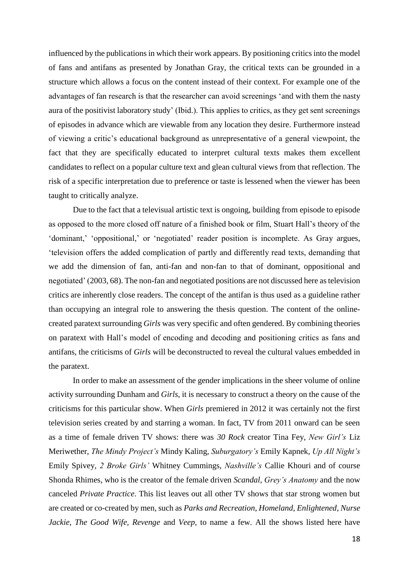influenced by the publications in which their work appears. By positioning critics into the model of fans and antifans as presented by Jonathan Gray, the critical texts can be grounded in a structure which allows a focus on the content instead of their context. For example one of the advantages of fan research is that the researcher can avoid screenings 'and with them the nasty aura of the positivist laboratory study' (Ibid.). This applies to critics, as they get sent screenings of episodes in advance which are viewable from any location they desire. Furthermore instead of viewing a critic's educational background as unrepresentative of a general viewpoint, the fact that they are specifically educated to interpret cultural texts makes them excellent candidates to reflect on a popular culture text and glean cultural views from that reflection. The risk of a specific interpretation due to preference or taste is lessened when the viewer has been taught to critically analyze.

Due to the fact that a televisual artistic text is ongoing, building from episode to episode as opposed to the more closed off nature of a finished book or film, Stuart Hall's theory of the 'dominant,' 'oppositional,' or 'negotiated' reader position is incomplete. As Gray argues, 'television offers the added complication of partly and differently read texts, demanding that we add the dimension of fan, anti-fan and non-fan to that of dominant, oppositional and negotiated' (2003, 68). The non-fan and negotiated positions are not discussed here as television critics are inherently close readers. The concept of the antifan is thus used as a guideline rather than occupying an integral role to answering the thesis question. The content of the onlinecreated paratext surrounding *Girls* was very specific and often gendered. By combining theories on paratext with Hall's model of encoding and decoding and positioning critics as fans and antifans, the criticisms of *Girls* will be deconstructed to reveal the cultural values embedded in the paratext.

In order to make an assessment of the gender implications in the sheer volume of online activity surrounding Dunham and *Girls*, it is necessary to construct a theory on the cause of the criticisms for this particular show. When *Girls* premiered in 2012 it was certainly not the first television series created by and starring a woman. In fact, TV from 2011 onward can be seen as a time of female driven TV shows: there was *30 Rock* creator Tina Fey, *New Girl's* Liz Meriwether, *The Mindy Project's* Mindy Kaling, *Suburgatory's* Emily Kapnek, *Up All Night's* Emily Spivey, *2 Broke Girls'* Whitney Cummings, *Nashville's* Callie Khouri and of course Shonda Rhimes, who is the creator of the female driven *Scandal, Grey's Anatomy* and the now canceled *Private Practice*. This list leaves out all other TV shows that star strong women but are created or co-created by men, such as *Parks and Recreation*, *Homeland*, *Enlightened*, *Nurse Jackie*, *The Good Wife, Revenge* and *Veep,* to name a few. All the shows listed here have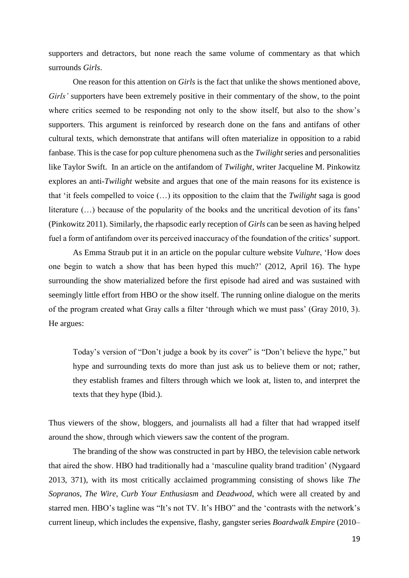supporters and detractors, but none reach the same volume of commentary as that which surrounds *Girls*.

One reason for this attention on *Girls* is the fact that unlike the shows mentioned above, *Girls'* supporters have been extremely positive in their commentary of the show, to the point where critics seemed to be responding not only to the show itself, but also to the show's supporters. This argument is reinforced by research done on the fans and antifans of other cultural texts, which demonstrate that antifans will often materialize in opposition to a rabid fanbase. This is the case for pop culture phenomena such as the *Twilight* series and personalities like Taylor Swift. In an article on the antifandom of *Twilight*, writer Jacqueline M. Pinkowitz explores an anti-*Twilight* website and argues that one of the main reasons for its existence is that 'it feels compelled to voice (…) its opposition to the claim that the *Twilight* saga is good literature (…) because of the popularity of the books and the uncritical devotion of its fans' (Pinkowitz 2011). Similarly, the rhapsodic early reception of *Girls* can be seen as having helped fuel a form of antifandom over its perceived inaccuracy of the foundation of the critics' support.

As Emma Straub put it in an article on the popular culture website *Vulture*, 'How does one begin to watch a show that has been hyped this much?' (2012, April 16). The hype surrounding the show materialized before the first episode had aired and was sustained with seemingly little effort from HBO or the show itself. The running online dialogue on the merits of the program created what Gray calls a filter 'through which we must pass' (Gray 2010, 3). He argues:

Today's version of "Don't judge a book by its cover" is "Don't believe the hype," but hype and surrounding texts do more than just ask us to believe them or not; rather, they establish frames and filters through which we look at, listen to, and interpret the texts that they hype (Ibid.).

Thus viewers of the show, bloggers, and journalists all had a filter that had wrapped itself around the show, through which viewers saw the content of the program.

The branding of the show was constructed in part by HBO, the television cable network that aired the show. HBO had traditionally had a 'masculine quality brand tradition' (Nygaard 2013, 371), with its most critically acclaimed programming consisting of shows like *The Sopranos*, *The Wire*, *Curb Your Enthusiasm* and *Deadwood*, which were all created by and starred men. HBO's tagline was "It's not TV. It's HBO" and the 'contrasts with the network's current lineup, which includes the expensive, flashy, gangster series *Boardwalk Empire* (2010–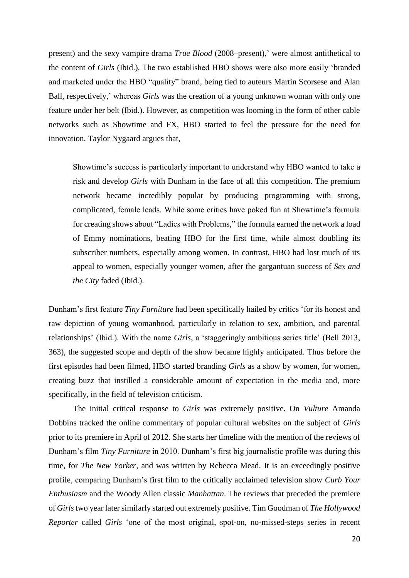present) and the sexy vampire drama *True Blood* (2008–present),' were almost antithetical to the content of *Girls* (Ibid.). The two established HBO shows were also more easily 'branded and marketed under the HBO "quality" brand, being tied to auteurs Martin Scorsese and Alan Ball, respectively,' whereas *Girls* was the creation of a young unknown woman with only one feature under her belt (Ibid.). However, as competition was looming in the form of other cable networks such as Showtime and FX, HBO started to feel the pressure for the need for innovation. Taylor Nygaard argues that,

Showtime's success is particularly important to understand why HBO wanted to take a risk and develop *Girls* with Dunham in the face of all this competition. The premium network became incredibly popular by producing programming with strong, complicated, female leads. While some critics have poked fun at Showtime's formula for creating shows about "Ladies with Problems," the formula earned the network a load of Emmy nominations, beating HBO for the first time, while almost doubling its subscriber numbers, especially among women. In contrast, HBO had lost much of its appeal to women, especially younger women, after the gargantuan success of *Sex and the City* faded (Ibid.).

Dunham's first feature *Tiny Furniture* had been specifically hailed by critics 'for its honest and raw depiction of young womanhood, particularly in relation to sex, ambition, and parental relationships' (Ibid.). With the name *Girls*, a 'staggeringly ambitious series title' (Bell 2013, 363), the suggested scope and depth of the show became highly anticipated. Thus before the first episodes had been filmed, HBO started branding *Girls* as a show by women, for women, creating buzz that instilled a considerable amount of expectation in the media and, more specifically, in the field of television criticism.

The initial critical response to *Girls* was extremely positive. On *Vulture* Amanda Dobbins tracked the online commentary of popular cultural websites on the subject of *Girls* prior to its premiere in April of 2012. She starts her timeline with the mention of the reviews of Dunham's film *Tiny Furniture* in 2010. Dunham's first big journalistic profile was during this time, for *The New Yorker,* and was written by Rebecca Mead. It is an exceedingly positive profile, comparing Dunham's first film to the critically acclaimed television show *Curb Your Enthusiasm* and the Woody Allen classic *Manhattan*. The reviews that preceded the premiere of *Girls*two year later similarly started out extremely positive. Tim Goodman of *The Hollywood Reporter* called *Girls* 'one of the most original, spot-on, no-missed-steps series in recent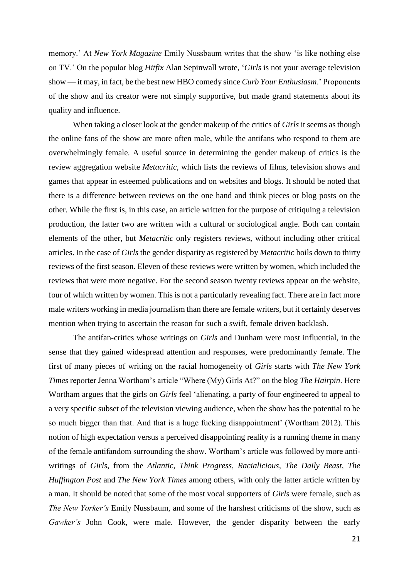memory.' At *New York Magazine* Emily Nussbaum writes that the show 'is like nothing else on TV.' On the popular blog *Hitfix* Alan Sepinwall wrote, '*Girls* is not your average television show — it may, in fact, be the best new HBO comedy since *Curb Your Enthusiasm*.' Proponents of the show and its creator were not simply supportive, but made grand statements about its quality and influence.

When taking a closer look at the gender makeup of the critics of *Girls* it seems as though the online fans of the show are more often male, while the antifans who respond to them are overwhelmingly female. A useful source in determining the gender makeup of critics is the review aggregation website *Metacritic,* which lists the reviews of films, television shows and games that appear in esteemed publications and on websites and blogs. It should be noted that there is a difference between reviews on the one hand and think pieces or blog posts on the other. While the first is, in this case, an article written for the purpose of critiquing a television production, the latter two are written with a cultural or sociological angle. Both can contain elements of the other, but *Metacritic* only registers reviews, without including other critical articles. In the case of *Girls* the gender disparity as registered by *Metacritic* boils down to thirty reviews of the first season. Eleven of these reviews were written by women, which included the reviews that were more negative. For the second season twenty reviews appear on the website, four of which written by women. This is not a particularly revealing fact. There are in fact more male writers working in media journalism than there are female writers, but it certainly deserves mention when trying to ascertain the reason for such a swift, female driven backlash.

The antifan-critics whose writings on *Girls* and Dunham were most influential, in the sense that they gained widespread attention and responses, were predominantly female. The first of many pieces of writing on the racial homogeneity of *Girls* starts with *The New York Times* reporter Jenna Wortham's article "Where (My) Girls At?" on the blog *The Hairpin*. Here Wortham argues that the girls on *Girls* feel 'alienating, a party of four engineered to appeal to a very specific subset of the television viewing audience, when the show has the potential to be so much bigger than that. And that is a huge fucking disappointment' (Wortham 2012). This notion of high expectation versus a perceived disappointing reality is a running theme in many of the female antifandom surrounding the show. Wortham's article was followed by more antiwritings of *Girls*, from the *Atlantic*, *Think Progress*, *Racialicious, The Daily Beast, The Huffington Post* and *The New York Times* among others, with only the latter article written by a man. It should be noted that some of the most vocal supporters of *Girls* were female, such as *The New Yorker's* Emily Nussbaum, and some of the harshest criticisms of the show, such as *Gawker's* John Cook, were male. However, the gender disparity between the early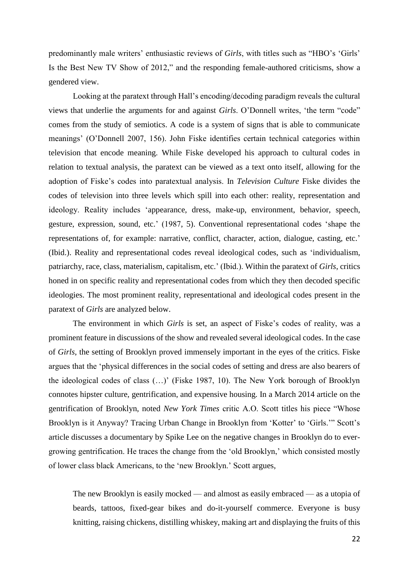predominantly male writers' enthusiastic reviews of *Girls*, with titles such as "HBO's 'Girls' Is the Best New TV Show of 2012," and the responding female-authored criticisms, show a gendered view.

Looking at the paratext through Hall's encoding/decoding paradigm reveals the cultural views that underlie the arguments for and against *Girls*. O'Donnell writes, 'the term "code" comes from the study of semiotics. A code is a system of signs that is able to communicate meanings' (O'Donnell 2007, 156). John Fiske identifies certain technical categories within television that encode meaning. While Fiske developed his approach to cultural codes in relation to textual analysis, the paratext can be viewed as a text onto itself, allowing for the adoption of Fiske's codes into paratextual analysis. In *Television Culture* Fiske divides the codes of television into three levels which spill into each other: reality, representation and ideology. Reality includes 'appearance, dress, make-up, environment, behavior, speech, gesture, expression, sound, etc.' (1987, 5). Conventional representational codes 'shape the representations of, for example: narrative, conflict, character, action, dialogue, casting, etc.' (Ibid.). Reality and representational codes reveal ideological codes, such as 'individualism, patriarchy, race, class, materialism, capitalism, etc.' (Ibid.). Within the paratext of *Girls*, critics honed in on specific reality and representational codes from which they then decoded specific ideologies. The most prominent reality, representational and ideological codes present in the paratext of *Girls* are analyzed below.

The environment in which *Girls* is set, an aspect of Fiske's codes of reality, was a prominent feature in discussions of the show and revealed several ideological codes. In the case of *Girls*, the setting of Brooklyn proved immensely important in the eyes of the critics. Fiske argues that the 'physical differences in the social codes of setting and dress are also bearers of the ideological codes of class (…)' (Fiske 1987, 10). The New York borough of Brooklyn connotes hipster culture, gentrification, and expensive housing. In a March 2014 article on the gentrification of Brooklyn, noted *New York Times* critic A.O. Scott titles his piece "Whose Brooklyn is it Anyway? Tracing Urban Change in Brooklyn from 'Kotter' to 'Girls.'" Scott's article discusses a documentary by Spike Lee on the negative changes in Brooklyn do to evergrowing gentrification. He traces the change from the 'old Brooklyn,' which consisted mostly of lower class black Americans, to the 'new Brooklyn.' Scott argues,

The new Brooklyn is easily mocked — and almost as easily embraced — as a utopia of beards, tattoos, fixed-gear bikes and do-it-yourself commerce. Everyone is busy knitting, raising chickens, distilling whiskey, making art and displaying the fruits of this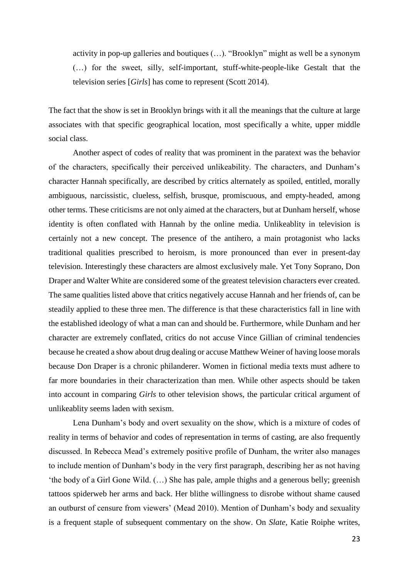activity in pop-up galleries and boutiques (…). "Brooklyn" might as well be a synonym (…) for the sweet, silly, self-important, stuff-white-people-like Gestalt that the television series [*Girls*] has come to represent (Scott 2014).

The fact that the show is set in Brooklyn brings with it all the meanings that the culture at large associates with that specific geographical location, most specifically a white, upper middle social class.

Another aspect of codes of reality that was prominent in the paratext was the behavior of the characters, specifically their perceived unlikeability. The characters, and Dunham's character Hannah specifically, are described by critics alternately as spoiled, entitled, morally ambiguous, narcissistic, clueless, selfish, brusque, promiscuous, and empty-headed, among other terms. These criticisms are not only aimed at the characters, but at Dunham herself, whose identity is often conflated with Hannah by the online media. Unlikeablity in television is certainly not a new concept. The presence of the antihero, a main protagonist who lacks traditional qualities prescribed to heroism, is more pronounced than ever in present-day television. Interestingly these characters are almost exclusively male. Yet Tony Soprano, Don Draper and Walter White are considered some of the greatest television characters ever created. The same qualities listed above that critics negatively accuse Hannah and her friends of, can be steadily applied to these three men. The difference is that these characteristics fall in line with the established ideology of what a man can and should be. Furthermore, while Dunham and her character are extremely conflated, critics do not accuse Vince Gillian of criminal tendencies because he created a show about drug dealing or accuse Matthew Weiner of having loose morals because Don Draper is a chronic philanderer. Women in fictional media texts must adhere to far more boundaries in their characterization than men. While other aspects should be taken into account in comparing *Girls* to other television shows, the particular critical argument of unlikeablity seems laden with sexism.

Lena Dunham's body and overt sexuality on the show, which is a mixture of codes of reality in terms of behavior and codes of representation in terms of casting, are also frequently discussed. In Rebecca Mead's extremely positive profile of Dunham, the writer also manages to include mention of Dunham's body in the very first paragraph, describing her as not having 'the body of a Girl Gone Wild. (…) She has pale, ample thighs and a generous belly; greenish tattoos spiderweb her arms and back. Her blithe willingness to disrobe without shame caused an outburst of censure from viewers' (Mead 2010). Mention of Dunham's body and sexuality is a frequent staple of subsequent commentary on the show. On *Slate*, Katie Roiphe writes,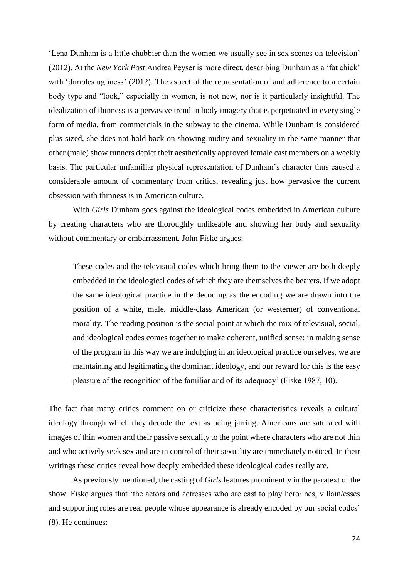'Lena Dunham is a little chubbier than the women we usually see in sex scenes on television' (2012). At the *New York Post* Andrea Peyser is more direct, describing Dunham as a 'fat chick' with 'dimples ugliness' (2012). The aspect of the representation of and adherence to a certain body type and "look," especially in women, is not new, nor is it particularly insightful. The idealization of thinness is a pervasive trend in body imagery that is perpetuated in every single form of media, from commercials in the subway to the cinema. While Dunham is considered plus-sized, she does not hold back on showing nudity and sexuality in the same manner that other (male) show runners depict their aesthetically approved female cast members on a weekly basis. The particular unfamiliar physical representation of Dunham's character thus caused a considerable amount of commentary from critics, revealing just how pervasive the current obsession with thinness is in American culture.

With *Girls* Dunham goes against the ideological codes embedded in American culture by creating characters who are thoroughly unlikeable and showing her body and sexuality without commentary or embarrassment. John Fiske argues:

These codes and the televisual codes which bring them to the viewer are both deeply embedded in the ideological codes of which they are themselves the bearers. If we adopt the same ideological practice in the decoding as the encoding we are drawn into the position of a white, male, middle-class American (or westerner) of conventional morality. The reading position is the social point at which the mix of televisual, social, and ideological codes comes together to make coherent, unified sense: in making sense of the program in this way we are indulging in an ideological practice ourselves, we are maintaining and legitimating the dominant ideology, and our reward for this is the easy pleasure of the recognition of the familiar and of its adequacy' (Fiske 1987, 10).

The fact that many critics comment on or criticize these characteristics reveals a cultural ideology through which they decode the text as being jarring. Americans are saturated with images of thin women and their passive sexuality to the point where characters who are not thin and who actively seek sex and are in control of their sexuality are immediately noticed. In their writings these critics reveal how deeply embedded these ideological codes really are.

As previously mentioned, the casting of *Girls* features prominently in the paratext of the show. Fiske argues that 'the actors and actresses who are cast to play hero/ines, villain/esses and supporting roles are real people whose appearance is already encoded by our social codes' (8). He continues: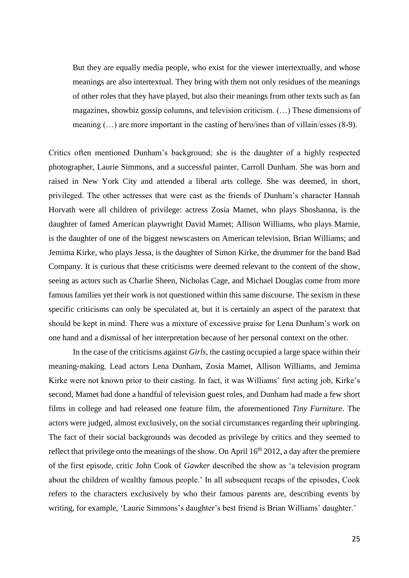But they are equally media people, who exist for the viewer intertextually, and whose meanings are also intertextual. They bring with them not only residues of the meanings of other roles that they have played, but also their meanings from other texts such as fan magazines, showbiz gossip columns, and television criticism. (…) These dimensions of meaning (…) are more important in the casting of hero/ines than of villain/esses (8-9).

Critics often mentioned Dunham's background; she is the daughter of a highly respected photographer, Laurie Simmons, and a successful painter, Carroll Dunham. She was born and raised in New York City and attended a liberal arts college. She was deemed, in short, privileged. The other actresses that were cast as the friends of Dunham's character Hannah Horvath were all children of privilege: actress Zosia Mamet, who plays Shoshanna, is the daughter of famed American playwright David Mamet; Allison Williams, who plays Marnie, is the daughter of one of the biggest newscasters on American television, Brian Williams; and Jemima Kirke, who plays Jessa, is the daughter of Simon Kirke, the drummer for the band Bad Company. It is curious that these criticisms were deemed relevant to the content of the show, seeing as actors such as Charlie Sheen, Nicholas Cage, and Michael Douglas come from more famous families yet their work is not questioned within this same discourse. The sexism in these specific criticisms can only be speculated at, but it is certainly an aspect of the paratext that should be kept in mind. There was a mixture of excessive praise for Lena Dunham's work on one hand and a dismissal of her interpretation because of her personal context on the other.

In the case of the criticisms against *Girls*, the casting occupied a large space within their meaning-making. Lead actors Lena Dunham, Zosia Mamet, Allison Williams, and Jemima Kirke were not known prior to their casting. In fact, it was Williams' first acting job, Kirke's second, Mamet had done a handful of television guest roles, and Dunham had made a few short films in college and had released one feature film, the aforementioned *Tiny Furniture*. The actors were judged, almost exclusively, on the social circumstances regarding their upbringing. The fact of their social backgrounds was decoded as privilege by critics and they seemed to reflect that privilege onto the meanings of the show. On April  $16<sup>th</sup> 2012$ , a day after the premiere of the first episode, critic John Cook of *Gawker* described the show as 'a television program about the children of wealthy famous people.' In all subsequent recaps of the episodes, Cook refers to the characters exclusively by who their famous parents are, describing events by writing, for example, 'Laurie Simmons's daughter's best friend is Brian Williams' daughter.'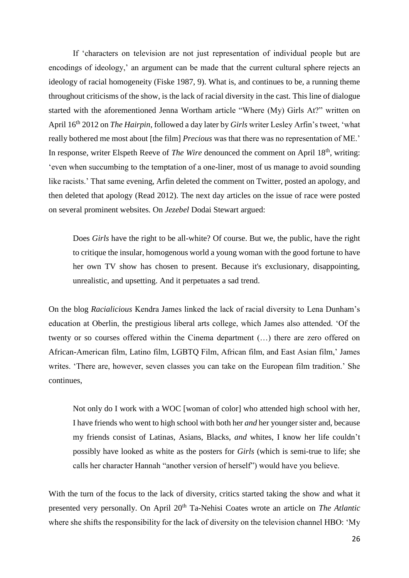If 'characters on television are not just representation of individual people but are encodings of ideology,' an argument can be made that the current cultural sphere rejects an ideology of racial homogeneity (Fiske 1987, 9). What is, and continues to be, a running theme throughout criticisms of the show, is the lack of racial diversity in the cast. This line of dialogue started with the aforementioned Jenna Wortham article "Where (My) Girls At?" written on April 16th 2012 on *The Hairpin*, followed a day later by *Girls* writer Lesley Arfin's tweet, 'what really bothered me most about [the film] *Precious* was that there was no representation of ME.' In response, writer Elspeth Reeve of *The Wire* denounced the comment on April 18<sup>th</sup>, writing: 'even when succumbing to the temptation of a one-liner, most of us manage to avoid sounding like racists.' That same evening, Arfin deleted the comment on Twitter, posted an apology, and then deleted that apology (Read 2012). The next day articles on the issue of race were posted on several prominent websites*.* On *Jezebel* Dodai Stewart argued:

Does *Girls* have the right to be all-white? Of course. But we, the public, have the right to critique the insular, homogenous world a young woman with the good fortune to have her own TV show has chosen to present. Because it's exclusionary, disappointing, unrealistic, and upsetting. And it perpetuates a sad trend.

On the blog *Racialicious* Kendra James linked the lack of racial diversity to Lena Dunham's education at Oberlin, the prestigious liberal arts college, which James also attended. 'Of the twenty or so courses offered within the Cinema department (…) there are zero offered on African-American film, Latino film, LGBTQ Film, African film, and East Asian film,' James writes. 'There are, however, seven classes you can take on the European film tradition.' She continues,

Not only do I work with a WOC [woman of color] who attended high school with her, I have friends who went to high school with both her *and* her younger sister and, because my friends consist of Latinas, Asians, Blacks, *and* whites, I know her life couldn't possibly have looked as white as the posters for *Girls* (which is semi-true to life; she calls her character Hannah "another version of herself") would have you believe.

With the turn of the focus to the lack of diversity, critics started taking the show and what it presented very personally. On April 20<sup>th</sup> Ta-Nehisi Coates wrote an article on *The Atlantic* where she shifts the responsibility for the lack of diversity on the television channel HBO: 'My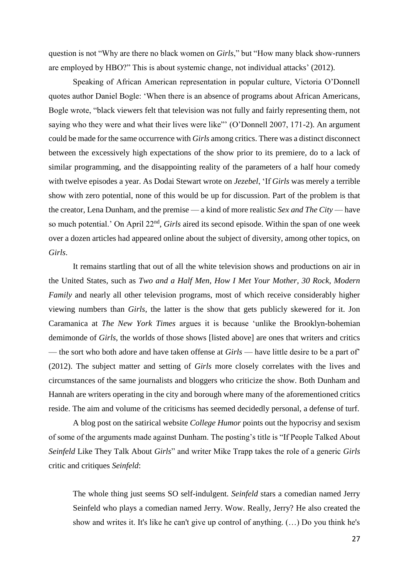question is not "Why are there no black women on *Girls*," but "How many black show-runners are employed by HBO?" This is about systemic change, not individual attacks' (2012).

Speaking of African American representation in popular culture, Victoria O'Donnell quotes author Daniel Bogle: 'When there is an absence of programs about African Americans, Bogle wrote, "black viewers felt that television was not fully and fairly representing them, not saying who they were and what their lives were like"' (O'Donnell 2007, 171-2). An argument could be made for the same occurrence with *Girls* among critics. There was a distinct disconnect between the excessively high expectations of the show prior to its premiere, do to a lack of similar programming, and the disappointing reality of the parameters of a half hour comedy with twelve episodes a year. As Dodai Stewart wrote on *Jezebel*, 'If *Girls* was merely a terrible show with zero potential, none of this would be up for discussion. Part of the problem is that the creator, Lena Dunham, and the premise — a kind of more realistic *Sex and The City* — have so much potential.' On April 22<sup>nd</sup>, *Girls* aired its second episode. Within the span of one week over a dozen articles had appeared online about the subject of diversity, among other topics, on *Girls*.

It remains startling that out of all the white television shows and productions on air in the United States, such as *Two and a Half Men, How I Met Your Mother, 30 Rock, Modern Family* and nearly all other television programs, most of which receive considerably higher viewing numbers than *Girls*, the latter is the show that gets publicly skewered for it. Jon Caramanica at *The New York Times* argues it is because 'unlike the Brooklyn-bohemian demimonde of *Girls*, the worlds of those shows [listed above] are ones that writers and critics — the sort who both adore and have taken offense at *Girls* — have little desire to be a part of' (2012). The subject matter and setting of *Girls* more closely correlates with the lives and circumstances of the same journalists and bloggers who criticize the show. Both Dunham and Hannah are writers operating in the city and borough where many of the aforementioned critics reside. The aim and volume of the criticisms has seemed decidedly personal, a defense of turf.

A blog post on the satirical website *College Humor* points out the hypocrisy and sexism of some of the arguments made against Dunham. The posting's title is "If People Talked About *Seinfeld* Like They Talk About *Girls*" and writer Mike Trapp takes the role of a generic *Girls* critic and critiques *Seinfeld*:

The whole thing just seems SO self-indulgent. *Seinfeld* stars a comedian named Jerry Seinfeld who plays a comedian named Jerry. Wow. Really, Jerry? He also created the show and writes it. It's like he can't give up control of anything. (…) Do you think he's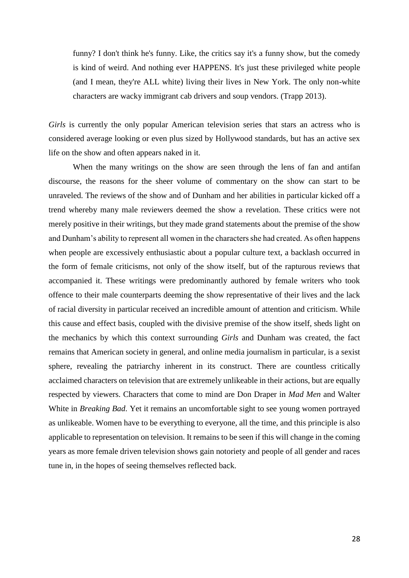funny? I don't think he's funny. Like, the critics say it's a funny show, but the comedy is kind of weird. And nothing ever HAPPENS. It's just these privileged white people (and I mean, they're ALL white) living their lives in New York. The only non-white characters are wacky immigrant cab drivers and soup vendors. (Trapp 2013).

*Girls* is currently the only popular American television series that stars an actress who is considered average looking or even plus sized by Hollywood standards, but has an active sex life on the show and often appears naked in it.

When the many writings on the show are seen through the lens of fan and antifan discourse, the reasons for the sheer volume of commentary on the show can start to be unraveled. The reviews of the show and of Dunham and her abilities in particular kicked off a trend whereby many male reviewers deemed the show a revelation. These critics were not merely positive in their writings, but they made grand statements about the premise of the show and Dunham's ability to represent all women in the characters she had created. As often happens when people are excessively enthusiastic about a popular culture text, a backlash occurred in the form of female criticisms, not only of the show itself, but of the rapturous reviews that accompanied it. These writings were predominantly authored by female writers who took offence to their male counterparts deeming the show representative of their lives and the lack of racial diversity in particular received an incredible amount of attention and criticism. While this cause and effect basis, coupled with the divisive premise of the show itself, sheds light on the mechanics by which this context surrounding *Girls* and Dunham was created, the fact remains that American society in general, and online media journalism in particular, is a sexist sphere, revealing the patriarchy inherent in its construct. There are countless critically acclaimed characters on television that are extremely unlikeable in their actions, but are equally respected by viewers. Characters that come to mind are Don Draper in *Mad Men* and Walter White in *Breaking Bad*. Yet it remains an uncomfortable sight to see young women portrayed as unlikeable. Women have to be everything to everyone, all the time, and this principle is also applicable to representation on television. It remains to be seen if this will change in the coming years as more female driven television shows gain notoriety and people of all gender and races tune in, in the hopes of seeing themselves reflected back.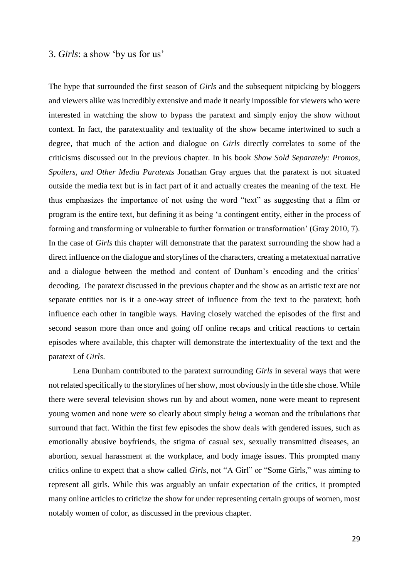#### 3. *Girls*: a show 'by us for us'

The hype that surrounded the first season of *Girls* and the subsequent nitpicking by bloggers and viewers alike was incredibly extensive and made it nearly impossible for viewers who were interested in watching the show to bypass the paratext and simply enjoy the show without context. In fact, the paratextuality and textuality of the show became intertwined to such a degree, that much of the action and dialogue on *Girls* directly correlates to some of the criticisms discussed out in the previous chapter. In his book *Show Sold Separately: Promos, Spoilers, and Other Media Paratexts* Jonathan Gray argues that the paratext is not situated outside the media text but is in fact part of it and actually creates the meaning of the text. He thus emphasizes the importance of not using the word "text" as suggesting that a film or program is the entire text, but defining it as being 'a contingent entity, either in the process of forming and transforming or vulnerable to further formation or transformation' (Gray 2010, 7). In the case of *Girls* this chapter will demonstrate that the paratext surrounding the show had a direct influence on the dialogue and storylines of the characters, creating a metatextual narrative and a dialogue between the method and content of Dunham's encoding and the critics' decoding. The paratext discussed in the previous chapter and the show as an artistic text are not separate entities nor is it a one-way street of influence from the text to the paratext; both influence each other in tangible ways. Having closely watched the episodes of the first and second season more than once and going off online recaps and critical reactions to certain episodes where available, this chapter will demonstrate the intertextuality of the text and the paratext of *Girls*.

Lena Dunham contributed to the paratext surrounding *Girls* in several ways that were not related specifically to the storylines of her show, most obviously in the title she chose. While there were several television shows run by and about women, none were meant to represent young women and none were so clearly about simply *being* a woman and the tribulations that surround that fact. Within the first few episodes the show deals with gendered issues, such as emotionally abusive boyfriends, the stigma of casual sex, sexually transmitted diseases, an abortion, sexual harassment at the workplace, and body image issues. This prompted many critics online to expect that a show called *Girls*, not "A Girl" or "Some Girls," was aiming to represent all girls. While this was arguably an unfair expectation of the critics, it prompted many online articles to criticize the show for under representing certain groups of women, most notably women of color, as discussed in the previous chapter.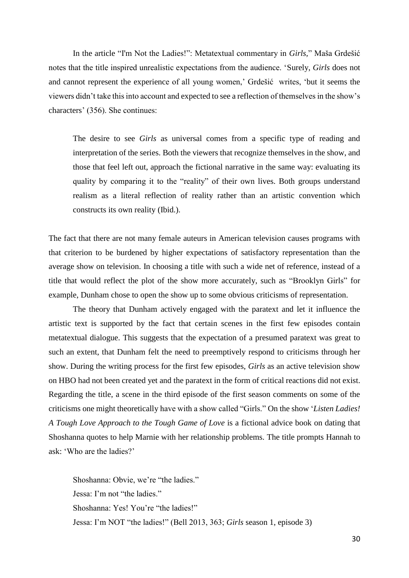In the article "I'm Not the Ladies!": Metatextual commentary in *Girls,*" Maša Grdešić notes that the title inspired unrealistic expectations from the audience. 'Surely, *Girls* does not and cannot represent the experience of all young women,' Grdešić writes, 'but it seems the viewers didn't take this into account and expected to see a reflection of themselves in the show's characters' (356). She continues:

The desire to see *Girls* as universal comes from a specific type of reading and interpretation of the series. Both the viewers that recognize themselves in the show, and those that feel left out, approach the fictional narrative in the same way: evaluating its quality by comparing it to the "reality" of their own lives. Both groups understand realism as a literal reflection of reality rather than an artistic convention which constructs its own reality (Ibid.).

The fact that there are not many female auteurs in American television causes programs with that criterion to be burdened by higher expectations of satisfactory representation than the average show on television. In choosing a title with such a wide net of reference, instead of a title that would reflect the plot of the show more accurately, such as "Brooklyn Girls" for example, Dunham chose to open the show up to some obvious criticisms of representation.

The theory that Dunham actively engaged with the paratext and let it influence the artistic text is supported by the fact that certain scenes in the first few episodes contain metatextual dialogue. This suggests that the expectation of a presumed paratext was great to such an extent, that Dunham felt the need to preemptively respond to criticisms through her show. During the writing process for the first few episodes, *Girls* as an active television show on HBO had not been created yet and the paratext in the form of critical reactions did not exist. Regarding the title, a scene in the third episode of the first season comments on some of the criticisms one might theoretically have with a show called "Girls." On the show '*Listen Ladies! A Tough Love Approach to the Tough Game of Love* is a fictional advice book on dating that Shoshanna quotes to help Marnie with her relationship problems. The title prompts Hannah to ask: 'Who are the ladies?'

Shoshanna: Obvie, we're "the ladies." Jessa: I'm not "the ladies." Shoshanna: Yes! You're "the ladies!" Jessa: I'm NOT "the ladies!" (Bell 2013, 363; *Girls* season 1, episode 3)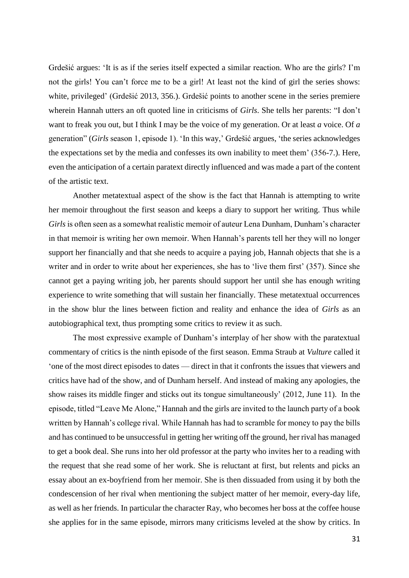Grdešić argues: 'It is as if the series itself expected a similar reaction. Who are the girls? I'm not the girls! You can't force me to be a girl! At least not the kind of girl the series shows: white, privileged' (Grdešić 2013, 356.). Grdešić points to another scene in the series premiere wherein Hannah utters an oft quoted line in criticisms of *Girls*. She tells her parents: "I don't want to freak you out, but I think I may be the voice of my generation. Or at least *a* voice. Of *a* generation" (*Girls* season 1, episode 1). 'In this way,' Grdešić argues, 'the series acknowledges the expectations set by the media and confesses its own inability to meet them' (356-7.). Here, even the anticipation of a certain paratext directly influenced and was made a part of the content of the artistic text.

Another metatextual aspect of the show is the fact that Hannah is attempting to write her memoir throughout the first season and keeps a diary to support her writing. Thus while *Girls* is often seen as a somewhat realistic memoir of auteur Lena Dunham, Dunham's character in that memoir is writing her own memoir. When Hannah's parents tell her they will no longer support her financially and that she needs to acquire a paying job, Hannah objects that she is a writer and in order to write about her experiences, she has to 'live them first' (357). Since she cannot get a paying writing job, her parents should support her until she has enough writing experience to write something that will sustain her financially. These metatextual occurrences in the show blur the lines between fiction and reality and enhance the idea of *Girls* as an autobiographical text, thus prompting some critics to review it as such.

The most expressive example of Dunham's interplay of her show with the paratextual commentary of critics is the ninth episode of the first season. Emma Straub at *Vulture* called it 'one of the most direct episodes to dates — direct in that it confronts the issues that viewers and critics have had of the show, and of Dunham herself. And instead of making any apologies, the show raises its middle finger and sticks out its tongue simultaneously' (2012, June 11). In the episode, titled "Leave Me Alone," Hannah and the girls are invited to the launch party of a book written by Hannah's college rival. While Hannah has had to scramble for money to pay the bills and has continued to be unsuccessful in getting her writing off the ground, her rival has managed to get a book deal. She runs into her old professor at the party who invites her to a reading with the request that she read some of her work. She is reluctant at first, but relents and picks an essay about an ex-boyfriend from her memoir. She is then dissuaded from using it by both the condescension of her rival when mentioning the subject matter of her memoir, every-day life, as well as her friends. In particular the character Ray, who becomes her boss at the coffee house she applies for in the same episode, mirrors many criticisms leveled at the show by critics. In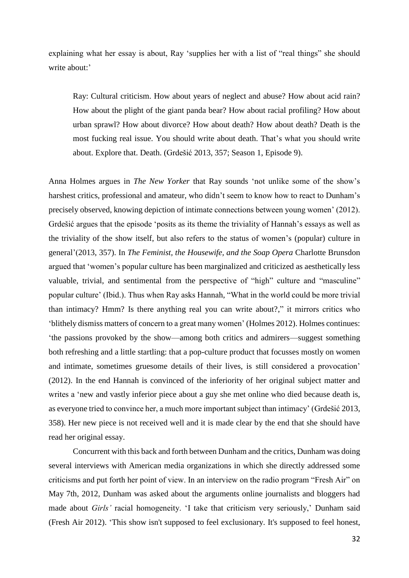explaining what her essay is about, Ray 'supplies her with a list of "real things" she should write about:'

Ray: Cultural criticism. How about years of neglect and abuse? How about acid rain? How about the plight of the giant panda bear? How about racial profiling? How about urban sprawl? How about divorce? How about death? How about death? Death is the most fucking real issue. You should write about death. That's what you should write about. Explore that. Death. (Grdešić 2013, 357; Season 1, Episode 9).

Anna Holmes argues in *The New Yorker* that Ray sounds 'not unlike some of the show's harshest critics, professional and amateur, who didn't seem to know how to react to Dunham's precisely observed, knowing depiction of intimate connections between young women' (2012). Grdešić argues that the episode 'posits as its theme the triviality of Hannah's essays as well as the triviality of the show itself, but also refers to the status of women's (popular) culture in general'(2013, 357). In *The Feminist, the Housewife, and the Soap Opera* Charlotte Brunsdon argued that 'women's popular culture has been marginalized and criticized as aesthetically less valuable, trivial, and sentimental from the perspective of "high" culture and "masculine" popular culture' (Ibid.). Thus when Ray asks Hannah, "What in the world could be more trivial than intimacy? Hmm? Is there anything real you can write about?," it mirrors critics who 'blithely dismiss matters of concern to a great many women' (Holmes 2012). Holmes continues: 'the passions provoked by the show—among both critics and admirers—suggest something both refreshing and a little startling: that a pop-culture product that focusses mostly on women and intimate, sometimes gruesome details of their lives, is still considered a provocation' (2012). In the end Hannah is convinced of the inferiority of her original subject matter and writes a 'new and vastly inferior piece about a guy she met online who died because death is, as everyone tried to convince her, a much more important subject than intimacy' (Grdešić 2013, 358). Her new piece is not received well and it is made clear by the end that she should have read her original essay.

Concurrent with this back and forth between Dunham and the critics, Dunham was doing several interviews with American media organizations in which she directly addressed some criticisms and put forth her point of view. In an interview on the radio program "Fresh Air" on May 7th, 2012, Dunham was asked about the arguments online journalists and bloggers had made about *Girls'* racial homogeneity. 'I take that criticism very seriously,' Dunham said (Fresh Air 2012). 'This show isn't supposed to feel exclusionary. It's supposed to feel honest,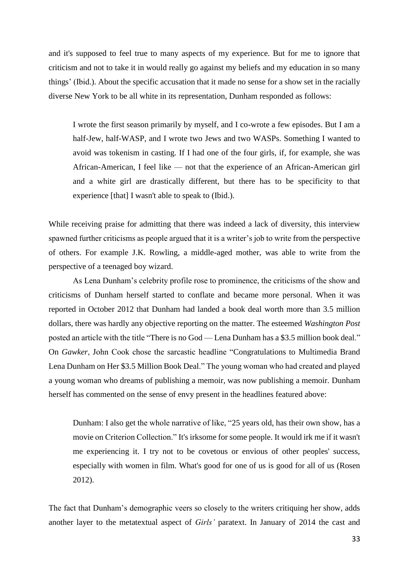and it's supposed to feel true to many aspects of my experience. But for me to ignore that criticism and not to take it in would really go against my beliefs and my education in so many things' (Ibid.). About the specific accusation that it made no sense for a show set in the racially diverse New York to be all white in its representation, Dunham responded as follows:

I wrote the first season primarily by myself, and I co-wrote a few episodes. But I am a half-Jew, half-WASP, and I wrote two Jews and two WASPs. Something I wanted to avoid was tokenism in casting. If I had one of the four girls, if, for example, she was African-American, I feel like — not that the experience of an African-American girl and a white girl are drastically different, but there has to be specificity to that experience [that] I wasn't able to speak to (Ibid.).

While receiving praise for admitting that there was indeed a lack of diversity, this interview spawned further criticisms as people argued that it is a writer's job to write from the perspective of others. For example J.K. Rowling, a middle-aged mother, was able to write from the perspective of a teenaged boy wizard.

As Lena Dunham's celebrity profile rose to prominence, the criticisms of the show and criticisms of Dunham herself started to conflate and became more personal. When it was reported in October 2012 that Dunham had landed a book deal worth more than 3.5 million dollars, there was hardly any objective reporting on the matter. The esteemed *Washington Post* posted an article with the title "There is no God — Lena Dunham has a \$3.5 million book deal." On *Gawker*, John Cook chose the sarcastic headline "Congratulations to Multimedia Brand Lena Dunham on Her \$3.5 Million Book Deal." The young woman who had created and played a young woman who dreams of publishing a memoir, was now publishing a memoir. Dunham herself has commented on the sense of envy present in the headlines featured above:

Dunham: I also get the whole narrative of like, "25 years old, has their own show, has a movie on Criterion Collection." It's irksome for some people. It would irk me if it wasn't me experiencing it. I try not to be covetous or envious of other peoples' success, especially with women in film. What's good for one of us is good for all of us (Rosen 2012).

The fact that Dunham's demographic veers so closely to the writers critiquing her show, adds another layer to the metatextual aspect of *Girls'* paratext. In January of 2014 the cast and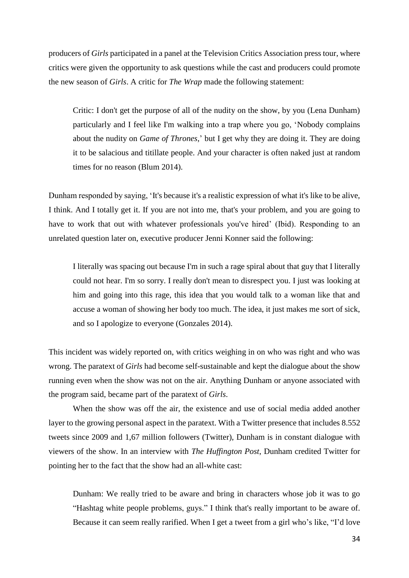producers of *Girls* participated in a panel at the Television Critics Association press tour, where critics were given the opportunity to ask questions while the cast and producers could promote the new season of *Girls*. A critic for *The Wrap* made the following statement:

Critic: I don't get the purpose of all of the nudity on the show, by you (Lena Dunham) particularly and I feel like I'm walking into a trap where you go, 'Nobody complains about the nudity on *Game of Thrones*,' but I get why they are doing it. They are doing it to be salacious and titillate people. And your character is often naked just at random times for no reason (Blum 2014).

Dunham responded by saying, 'It's because it's a realistic expression of what it's like to be alive, I think. And I totally get it. If you are not into me, that's your problem, and you are going to have to work that out with whatever professionals you've hired' (Ibid). Responding to an unrelated question later on, executive producer Jenni Konner said the following:

I literally was spacing out because I'm in such a rage spiral about that guy that I literally could not hear. I'm so sorry. I really don't mean to disrespect you. I just was looking at him and going into this rage, this idea that you would talk to a woman like that and accuse a woman of showing her body too much. The idea, it just makes me sort of sick, and so I apologize to everyone (Gonzales 2014).

This incident was widely reported on, with critics weighing in on who was right and who was wrong. The paratext of *Girls* had become self-sustainable and kept the dialogue about the show running even when the show was not on the air. Anything Dunham or anyone associated with the program said, became part of the paratext of *Girls*.

When the show was off the air, the existence and use of social media added another layer to the growing personal aspect in the paratext. With a Twitter presence that includes 8.552 tweets since 2009 and 1,67 million followers (Twitter), Dunham is in constant dialogue with viewers of the show. In an interview with *The Huffington Post*, Dunham credited Twitter for pointing her to the fact that the show had an all-white cast:

Dunham: We really tried to be aware and bring in characters whose job it was to go "Hashtag white people problems, guys." I think that's really important to be aware of. Because it can seem really rarified. When I get a tweet from a girl who's like, "I'd love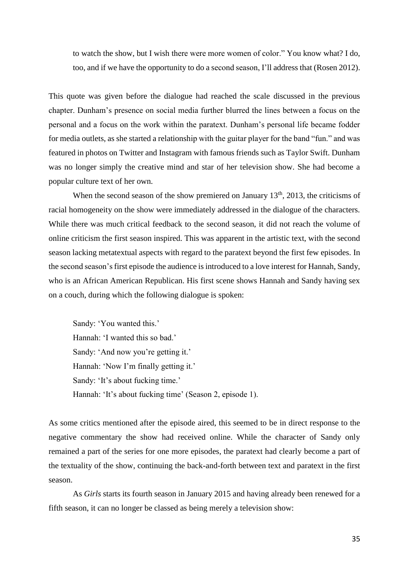to watch the show, but I wish there were more women of color." You know what? I do, too, and if we have the opportunity to do a second season, I'll address that (Rosen 2012).

This quote was given before the dialogue had reached the scale discussed in the previous chapter. Dunham's presence on social media further blurred the lines between a focus on the personal and a focus on the work within the paratext. Dunham's personal life became fodder for media outlets, as she started a relationship with the guitar player for the band "fun." and was featured in photos on Twitter and Instagram with famous friends such as Taylor Swift. Dunham was no longer simply the creative mind and star of her television show. She had become a popular culture text of her own.

When the second season of the show premiered on January  $13<sup>th</sup>$ , 2013, the criticisms of racial homogeneity on the show were immediately addressed in the dialogue of the characters. While there was much critical feedback to the second season, it did not reach the volume of online criticism the first season inspired. This was apparent in the artistic text, with the second season lacking metatextual aspects with regard to the paratext beyond the first few episodes. In the second season'sfirst episode the audience is introduced to a love interest for Hannah, Sandy, who is an African American Republican. His first scene shows Hannah and Sandy having sex on a couch, during which the following dialogue is spoken:

Sandy: 'You wanted this.' Hannah: 'I wanted this so bad.' Sandy: 'And now you're getting it.' Hannah: 'Now I'm finally getting it.' Sandy: 'It's about fucking time.' Hannah: 'It's about fucking time' (Season 2, episode 1).

As some critics mentioned after the episode aired, this seemed to be in direct response to the negative commentary the show had received online. While the character of Sandy only remained a part of the series for one more episodes, the paratext had clearly become a part of the textuality of the show, continuing the back-and-forth between text and paratext in the first season.

As *Girls* starts its fourth season in January 2015 and having already been renewed for a fifth season, it can no longer be classed as being merely a television show: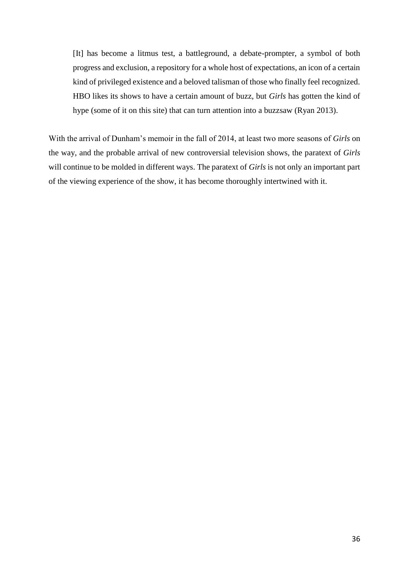[It] has become a litmus test, a battleground, a debate-prompter, a symbol of both progress and exclusion, a repository for a whole host of expectations, an icon of a certain kind of privileged existence and a beloved talisman of those who finally feel recognized. HBO likes its shows to have a certain amount of buzz, but *Girls* has gotten the kind of hype (some of it on this site) that can turn attention into a buzzsaw (Ryan 2013).

With the arrival of Dunham's memoir in the fall of 2014, at least two more seasons of *Girls* on the way, and the probable arrival of new controversial television shows, the paratext of *Girls* will continue to be molded in different ways. The paratext of *Girls* is not only an important part of the viewing experience of the show, it has become thoroughly intertwined with it.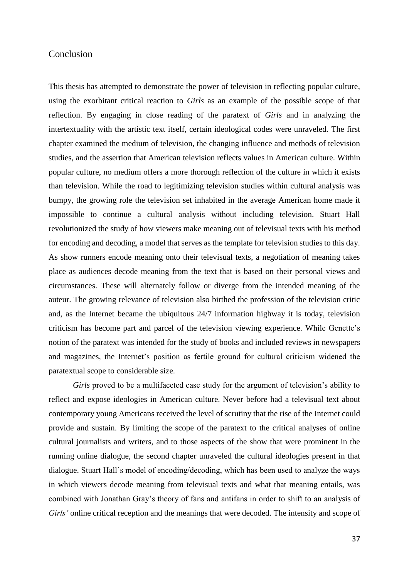### **Conclusion**

This thesis has attempted to demonstrate the power of television in reflecting popular culture, using the exorbitant critical reaction to *Girls* as an example of the possible scope of that reflection. By engaging in close reading of the paratext of *Girls* and in analyzing the intertextuality with the artistic text itself, certain ideological codes were unraveled. The first chapter examined the medium of television, the changing influence and methods of television studies, and the assertion that American television reflects values in American culture. Within popular culture, no medium offers a more thorough reflection of the culture in which it exists than television. While the road to legitimizing television studies within cultural analysis was bumpy, the growing role the television set inhabited in the average American home made it impossible to continue a cultural analysis without including television. Stuart Hall revolutionized the study of how viewers make meaning out of televisual texts with his method for encoding and decoding, a model that serves as the template for television studies to this day. As show runners encode meaning onto their televisual texts, a negotiation of meaning takes place as audiences decode meaning from the text that is based on their personal views and circumstances. These will alternately follow or diverge from the intended meaning of the auteur. The growing relevance of television also birthed the profession of the television critic and, as the Internet became the ubiquitous 24/7 information highway it is today, television criticism has become part and parcel of the television viewing experience. While Genette's notion of the paratext was intended for the study of books and included reviews in newspapers and magazines, the Internet's position as fertile ground for cultural criticism widened the paratextual scope to considerable size.

*Girls* proved to be a multifaceted case study for the argument of television's ability to reflect and expose ideologies in American culture. Never before had a televisual text about contemporary young Americans received the level of scrutiny that the rise of the Internet could provide and sustain. By limiting the scope of the paratext to the critical analyses of online cultural journalists and writers, and to those aspects of the show that were prominent in the running online dialogue, the second chapter unraveled the cultural ideologies present in that dialogue. Stuart Hall's model of encoding/decoding, which has been used to analyze the ways in which viewers decode meaning from televisual texts and what that meaning entails, was combined with Jonathan Gray's theory of fans and antifans in order to shift to an analysis of *Girls'* online critical reception and the meanings that were decoded. The intensity and scope of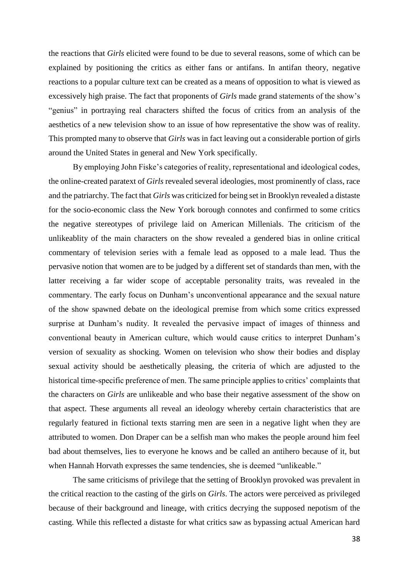the reactions that *Girls* elicited were found to be due to several reasons, some of which can be explained by positioning the critics as either fans or antifans. In antifan theory, negative reactions to a popular culture text can be created as a means of opposition to what is viewed as excessively high praise. The fact that proponents of *Girls* made grand statements of the show's "genius" in portraying real characters shifted the focus of critics from an analysis of the aesthetics of a new television show to an issue of how representative the show was of reality. This prompted many to observe that *Girls* was in fact leaving out a considerable portion of girls around the United States in general and New York specifically.

By employing John Fiske's categories of reality, representational and ideological codes, the online-created paratext of *Girls* revealed several ideologies, most prominently of class, race and the patriarchy. The fact that *Girls* was criticized for being set in Brooklyn revealed a distaste for the socio-economic class the New York borough connotes and confirmed to some critics the negative stereotypes of privilege laid on American Millenials. The criticism of the unlikeablity of the main characters on the show revealed a gendered bias in online critical commentary of television series with a female lead as opposed to a male lead. Thus the pervasive notion that women are to be judged by a different set of standards than men, with the latter receiving a far wider scope of acceptable personality traits, was revealed in the commentary. The early focus on Dunham's unconventional appearance and the sexual nature of the show spawned debate on the ideological premise from which some critics expressed surprise at Dunham's nudity. It revealed the pervasive impact of images of thinness and conventional beauty in American culture, which would cause critics to interpret Dunham's version of sexuality as shocking. Women on television who show their bodies and display sexual activity should be aesthetically pleasing, the criteria of which are adjusted to the historical time-specific preference of men. The same principle applies to critics' complaints that the characters on *Girls* are unlikeable and who base their negative assessment of the show on that aspect. These arguments all reveal an ideology whereby certain characteristics that are regularly featured in fictional texts starring men are seen in a negative light when they are attributed to women. Don Draper can be a selfish man who makes the people around him feel bad about themselves, lies to everyone he knows and be called an antihero because of it, but when Hannah Horvath expresses the same tendencies, she is deemed "unlikeable."

The same criticisms of privilege that the setting of Brooklyn provoked was prevalent in the critical reaction to the casting of the girls on *Girls*. The actors were perceived as privileged because of their background and lineage, with critics decrying the supposed nepotism of the casting. While this reflected a distaste for what critics saw as bypassing actual American hard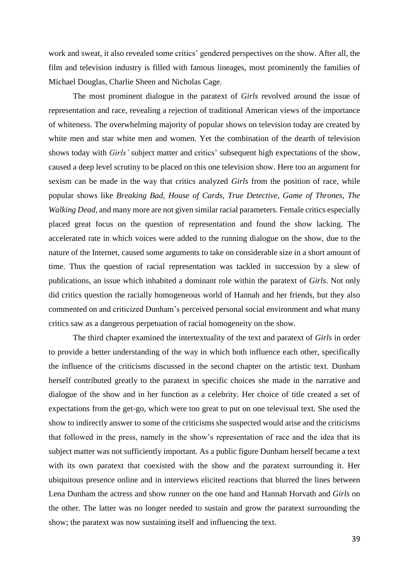work and sweat, it also revealed some critics' gendered perspectives on the show. After all, the film and television industry is filled with famous lineages, most prominently the families of Michael Douglas, Charlie Sheen and Nicholas Cage.

The most prominent dialogue in the paratext of *Girls* revolved around the issue of representation and race, revealing a rejection of traditional American views of the importance of whiteness. The overwhelming majority of popular shows on television today are created by white men and star white men and women. Yet the combination of the dearth of television shows today with *Girls'* subject matter and critics' subsequent high expectations of the show, caused a deep level scrutiny to be placed on this one television show. Here too an argument for sexism can be made in the way that critics analyzed *Girls* from the position of race, while popular shows like *Breaking Bad, House of Cards, True Detective, Game of Thrones, The Walking Dead*, and many more are not given similar racial parameters. Female critics especially placed great focus on the question of representation and found the show lacking. The accelerated rate in which voices were added to the running dialogue on the show, due to the nature of the Internet, caused some arguments to take on considerable size in a short amount of time. Thus the question of racial representation was tackled in succession by a slew of publications, an issue which inhabited a dominant role within the paratext of *Girls*. Not only did critics question the racially homogeneous world of Hannah and her friends, but they also commented on and criticized Dunham's perceived personal social environment and what many critics saw as a dangerous perpetuation of racial homogeneity on the show.

The third chapter examined the intertextuality of the text and paratext of *Girls* in order to provide a better understanding of the way in which both influence each other, specifically the influence of the criticisms discussed in the second chapter on the artistic text. Dunham herself contributed greatly to the paratext in specific choices she made in the narrative and dialogue of the show and in her function as a celebrity. Her choice of title created a set of expectations from the get-go, which were too great to put on one televisual text. She used the show to indirectly answer to some of the criticisms she suspected would arise and the criticisms that followed in the press, namely in the show's representation of race and the idea that its subject matter was not sufficiently important. As a public figure Dunham herself became a text with its own paratext that coexisted with the show and the paratext surrounding it. Her ubiquitous presence online and in interviews elicited reactions that blurred the lines between Lena Dunham the actress and show runner on the one hand and Hannah Horvath and *Girls* on the other. The latter was no longer needed to sustain and grow the paratext surrounding the show; the paratext was now sustaining itself and influencing the text.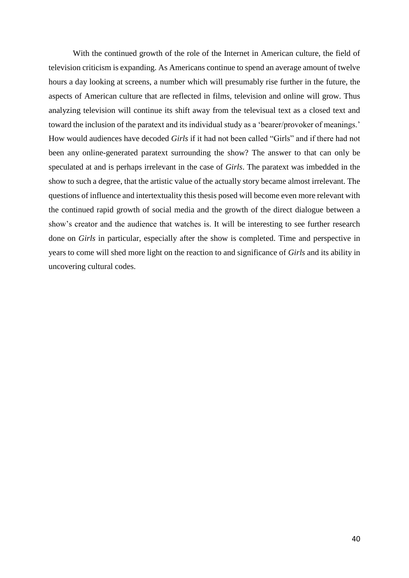With the continued growth of the role of the Internet in American culture, the field of television criticism is expanding. As Americans continue to spend an average amount of twelve hours a day looking at screens, a number which will presumably rise further in the future, the aspects of American culture that are reflected in films, television and online will grow. Thus analyzing television will continue its shift away from the televisual text as a closed text and toward the inclusion of the paratext and its individual study as a 'bearer/provoker of meanings.' How would audiences have decoded *Girls* if it had not been called "Girls" and if there had not been any online-generated paratext surrounding the show? The answer to that can only be speculated at and is perhaps irrelevant in the case of *Girls*. The paratext was imbedded in the show to such a degree, that the artistic value of the actually story became almost irrelevant. The questions of influence and intertextuality this thesis posed will become even more relevant with the continued rapid growth of social media and the growth of the direct dialogue between a show's creator and the audience that watches is. It will be interesting to see further research done on *Girls* in particular, especially after the show is completed. Time and perspective in years to come will shed more light on the reaction to and significance of *Girls* and its ability in uncovering cultural codes.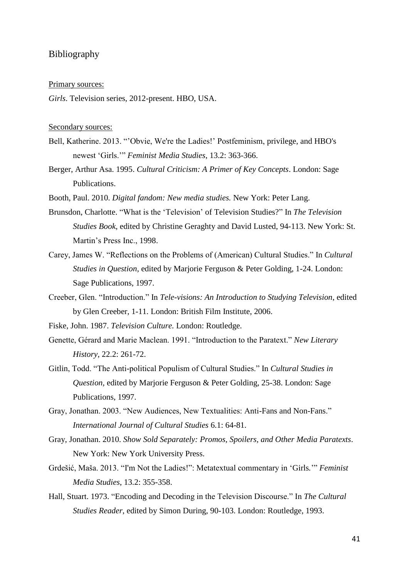#### Bibliography

#### Primary sources:

*Girls*. Television series, 2012-present. HBO, USA.

#### Secondary sources:

- Bell, Katherine. 2013. "'Obvie, We're the Ladies!' Postfeminism, privilege, and HBO's newest 'Girls.'" *Feminist Media Studies*, 13.2: 363-366.
- Berger, Arthur Asa. 1995. *Cultural Criticism: A Primer of Key Concepts*. London: Sage Publications.
- Booth, Paul. 2010. *Digital fandom: New media studies.* New York: Peter Lang.
- Brunsdon, Charlotte. "What is the 'Television' of Television Studies?" In *The Television Studies Book*, edited by Christine Geraghty and David Lusted, 94-113. New York: St. Martin's Press Inc., 1998.
- Carey, James W. "Reflections on the Problems of (American) Cultural Studies." In *Cultural Studies in Question*, edited by Marjorie Ferguson & Peter Golding, 1-24. London: Sage Publications, 1997.
- Creeber, Glen. "Introduction." In *Tele-visions: An Introduction to Studying Television*, edited by Glen Creeber, 1-11. London: British Film Institute, 2006.
- Fiske, John. 1987. *Television Culture.* London: Routledge.
- Genette, Gérard and Marie Maclean. 1991. "Introduction to the Paratext." *New Literary History*, 22.2: 261-72.
- Gitlin, Todd. "The Anti-political Populism of Cultural Studies." In *Cultural Studies in Question*, edited by Marjorie Ferguson & Peter Golding, 25-38. London: Sage Publications, 1997.
- Gray, Jonathan. 2003. "New Audiences, New Textualities: Anti-Fans and Non-Fans." *International Journal of Cultural Studies* 6.1: 64-81.
- Gray, Jonathan. 2010. *Show Sold Separately: Promos, Spoilers, and Other Media Paratexts*. New York: New York University Press.
- Grdešić, Maša. 2013. "I'm Not the Ladies!": Metatextual commentary in 'Girls*.*'" *Feminist Media Studies*, 13.2: 355-358.
- Hall, Stuart. 1973. "Encoding and Decoding in the Television Discourse." In *The Cultural Studies Reader*, edited by Simon During, 90-103. London: Routledge, 1993.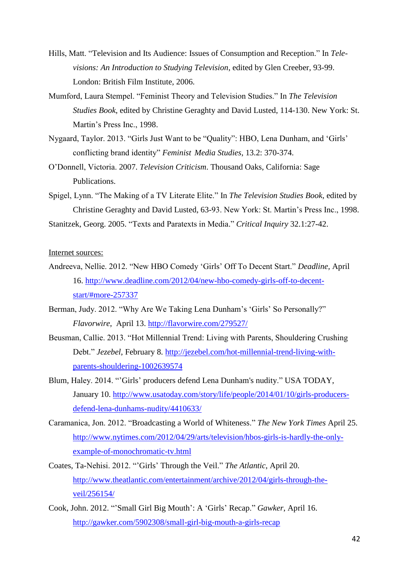- Hills, Matt. "Television and Its Audience: Issues of Consumption and Reception." In *Televisions: An Introduction to Studying Television*, edited by Glen Creeber, 93-99. London: British Film Institute, 2006.
- Mumford, Laura Stempel. "Feminist Theory and Television Studies." In *The Television Studies Book*, edited by Christine Geraghty and David Lusted, 114-130. New York: St. Martin's Press Inc., 1998.
- Nygaard, Taylor. 2013. "Girls Just Want to be "Quality": HBO, Lena Dunham, and 'Girls' conflicting brand identity" *Feminist Media Studies*, 13.2: 370-374.
- O'Donnell, Victoria. 2007. *Television Criticism*. Thousand Oaks, California: Sage Publications.
- Spigel, Lynn. "The Making of a TV Literate Elite." In *The Television Studies Book*, edited by Christine Geraghty and David Lusted, 63-93. New York: St. Martin's Press Inc., 1998.

Stanitzek, Georg. 2005. "Texts and Paratexts in Media." *Critical Inquiry* 32.1:27-42.

Internet sources:

- Andreeva, Nellie. 2012. "New HBO Comedy 'Girls' Off To Decent Start." *Deadline,* April 16. http://www.deadline.com/2012/04/new-hbo-comedy-girls-off-to-decentstart/#more-257337
- Berman, Judy. 2012. "Why Are We Taking Lena Dunham's 'Girls' So Personally?" *Flavorwire*, April 13.<http://flavorwire.com/279527/>
- Beusman, Callie. 2013. "Hot Millennial Trend: Living with Parents, Shouldering Crushing Debt." *Jezebel*, February 8. http://jezebel.com/hot-millennial-trend-living-withparents-shouldering-1002639574
- Blum, Haley. 2014. "'Girls' producers defend Lena Dunham's nudity." USA TODAY, January 10. [http://www.usatoday.com/story/life/people/2014/01/10/girls-producers](http://www.usatoday.com/story/life/people/2014/01/10/girls-producers-defend-lena-dunhams-nudity/4410633/)[defend-lena-dunhams-nudity/4410633/](http://www.usatoday.com/story/life/people/2014/01/10/girls-producers-defend-lena-dunhams-nudity/4410633/)
- Caramanica, Jon. 2012. "Broadcasting a World of Whiteness." *The New York Times* April 25. [http://www.nytimes.com/2012/04/29/arts/television/hbos-girls-is-hardly-the-only](http://www.nytimes.com/2012/04/29/arts/television/hbos-girls-is-hardly-the-only-example-of-monochromatic-tv.html)[example-of-monochromatic-tv.html](http://www.nytimes.com/2012/04/29/arts/television/hbos-girls-is-hardly-the-only-example-of-monochromatic-tv.html)
- Coates, Ta-Nehisi. 2012. "'Girls' Through the Veil." *The Atlantic*, April 20. [http://www.theatlantic.com/entertainment/archive/2012/04/girls-through-the](http://www.theatlantic.com/entertainment/archive/2012/04/girls-through-the-veil/256154/)[veil/256154/](http://www.theatlantic.com/entertainment/archive/2012/04/girls-through-the-veil/256154/)
- Cook, John. 2012. "'Small Girl Big Mouth': A 'Girls' Recap." *Gawker*, April 16. <http://gawker.com/5902308/small-girl-big-mouth-a-girls-recap>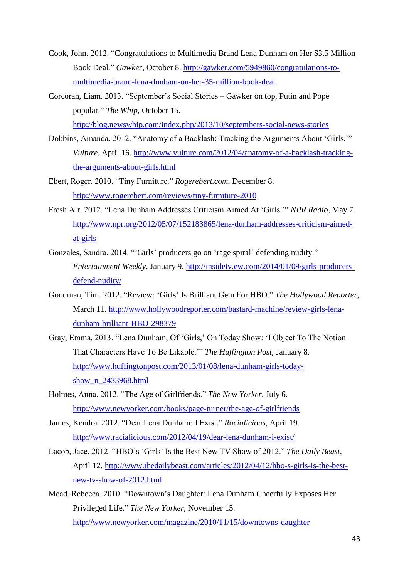- Cook, John. 2012. "Congratulations to Multimedia Brand Lena Dunham on Her \$3.5 Million Book Deal." *Gawker*, October 8. [http://gawker.com/5949860/congratulations-to](http://gawker.com/5949860/congratulations-to-multimedia-brand-lena-dunham-on-her-35-million-book-deal)[multimedia-brand-lena-dunham-on-her-35-million-book-deal](http://gawker.com/5949860/congratulations-to-multimedia-brand-lena-dunham-on-her-35-million-book-deal)
- Corcoran, Liam. 2013. "September's Social Stories Gawker on top, Putin and Pope popular." *The Whip*, October 15. <http://blog.newswhip.com/index.php/2013/10/septembers-social-news-stories>
- Dobbins, Amanda. 2012. "Anatomy of a Backlash: Tracking the Arguments About 'Girls.'" *Vulture,* April 16. [http://www.vulture.com/2012/04/anatomy-of-a-backlash-tracking](http://www.vulture.com/2012/04/anatomy-of-a-backlash-tracking-the-arguments-about-girls.html)[the-arguments-about-girls.html](http://www.vulture.com/2012/04/anatomy-of-a-backlash-tracking-the-arguments-about-girls.html)
- Ebert, Roger. 2010. "Tiny Furniture." *Rogerebert.com*, December 8. <http://www.rogerebert.com/reviews/tiny-furniture-2010>
- Fresh Air. 2012. "Lena Dunham Addresses Criticism Aimed At 'Girls.'" *NPR Radio*, May 7. http://www.npr.org/2012/05/07/152183865/lena-dunham-addresses-criticism-aimedat-girls
- Gonzales, Sandra. 2014. "'Girls' producers go on 'rage spiral' defending nudity." *Entertainment Weekly*, January 9. [http://insidetv.ew.com/2014/01/09/girls-producers](http://insidetv.ew.com/2014/01/09/girls-producers-defend-nudity/)[defend-nudity/](http://insidetv.ew.com/2014/01/09/girls-producers-defend-nudity/)
- Goodman, Tim. 2012. "Review: 'Girls' Is Brilliant Gem For HBO." *The Hollywood Reporter*, March 11. [http://www.hollywoodreporter.com/bastard-machine/review-girls-lena](http://www.hollywoodreporter.com/bastard-machine/review-girls-lena-dunham-brilliant-HBO-298379)[dunham-brilliant-HBO-298379](http://www.hollywoodreporter.com/bastard-machine/review-girls-lena-dunham-brilliant-HBO-298379)
- Gray, Emma. 2013. "Lena Dunham, Of 'Girls,' On Today Show: 'I Object To The Notion That Characters Have To Be Likable.'" *The Huffington Post*, January 8. [http://www.huffingtonpost.com/2013/01/08/lena-dunham-girls-today](http://www.huffingtonpost.com/2013/01/08/lena-dunham-girls-today-show_n_2433968.html)show n 2433968.html
- Holmes, Anna. 2012. "The Age of Girlfriends." *The New Yorker*, July 6. <http://www.newyorker.com/books/page-turner/the-age-of-girlfriends>
- James, Kendra. 2012. "Dear Lena Dunham: I Exist." *Racialicious*, April 19. <http://www.racialicious.com/2012/04/19/dear-lena-dunham-i-exist/>
- Lacob, Jace. 2012. "HBO's 'Girls' Is the Best New TV Show of 2012." *The Daily Beast*, April 12. [http://www.thedailybeast.com/articles/2012/04/12/hbo-s-girls-is-the-best](http://www.thedailybeast.com/articles/2012/04/12/hbo-s-girls-is-the-best-new-tv-show-of-2012.html)[new-tv-show-of-2012.html](http://www.thedailybeast.com/articles/2012/04/12/hbo-s-girls-is-the-best-new-tv-show-of-2012.html)
- Mead, Rebecca. 2010. "Downtown's Daughter: Lena Dunham Cheerfully Exposes Her Privileged Life." *The New Yorker,* November 15. <http://www.newyorker.com/magazine/2010/11/15/downtowns-daughter>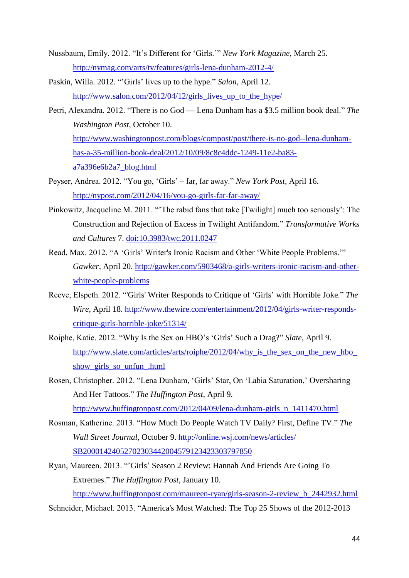- Nussbaum, Emily. 2012. "It's Different for 'Girls.'" *New York Magazine,* March 25*.*  <http://nymag.com/arts/tv/features/girls-lena-dunham-2012-4/>
- Paskin, Willa. 2012. "'Girls' lives up to the hype." *Salon*, April 12. http://www.salon.com/2012/04/12/girls lives up to the hype/
- Petri, Alexandra. 2012. "There is no God Lena Dunham has a \$3.5 million book deal." *The Washington Post*, October 10. [http://www.washingtonpost.com/blogs/compost/post/there-is-no-god--lena-dunham](http://www.washingtonpost.com/blogs/compost/post/there-is-no-god--lena-dunham-has-a-35-million-book-deal/2012/10/09/8c8c4ddc-1249-11e2-ba83-a7a396e6b2a7_blog.html)[has-a-35-million-book-deal/2012/10/09/8c8c4ddc-1249-11e2-ba83](http://www.washingtonpost.com/blogs/compost/post/there-is-no-god--lena-dunham-has-a-35-million-book-deal/2012/10/09/8c8c4ddc-1249-11e2-ba83-a7a396e6b2a7_blog.html) [a7a396e6b2a7\\_blog.html](http://www.washingtonpost.com/blogs/compost/post/there-is-no-god--lena-dunham-has-a-35-million-book-deal/2012/10/09/8c8c4ddc-1249-11e2-ba83-a7a396e6b2a7_blog.html)
- Peyser, Andrea. 2012. "You go, 'Girls' far, far away." *New York Post,* April 16. <http://nypost.com/2012/04/16/you-go-girls-far-far-away/>
- Pinkowitz, Jacqueline M. 2011. "'The rabid fans that take [Twilight] much too seriously': The Construction and Rejection of Excess in Twilight Antifandom." *Transformative Works and Cultures* 7. [doi:10.3983/twc.2011.0247](http://dx.doi.org/10.3983/twc.2011.0247)
- Read, Max. 2012. "A 'Girls' Writer's Ironic Racism and Other 'White People Problems.'" *Gawker*, April 20. [http://gawker.com/5903468/a-girls-writers-ironic-racism-and-other](http://gawker.com/5903468/a-girls-writers-ironic-racism-and-other-white-people-problems)[white-people-problems](http://gawker.com/5903468/a-girls-writers-ironic-racism-and-other-white-people-problems)
- Reeve, Elspeth. 2012. "'Girls' Writer Responds to Critique of 'Girls' with Horrible Joke." *The Wire*, April 18. [http://www.thewire.com/entertainment/2012/04/girls-writer-responds](http://www.thewire.com/entertainment/2012/04/girls-writer-responds-critique-girls-horrible-joke/51314/)[critique-girls-horrible-joke/51314/](http://www.thewire.com/entertainment/2012/04/girls-writer-responds-critique-girls-horrible-joke/51314/)
- Roiphe, Katie. 2012. "Why Is the Sex on HBO's 'Girls' Such a Drag?" *Slate*, April 9. http://www.slate.com/articles/arts/roiphe/2012/04/why is the sex on the new hbo show girls so unfun .html
- Rosen, Christopher. 2012. "Lena Dunham, 'Girls' Star, On 'Labia Saturation,' Oversharing And Her Tattoos." *The Huffington Post*, April 9. [http://www.huffingtonpost.com/2012/04/09/lena-dunham-girls\\_n\\_1411470.html](http://www.huffingtonpost.com/2012/04/09/lena-dunham-girls_n_1411470.html)
- Rosman, Katherine. 2013. "How Much Do People Watch TV Daily? First, Define TV." *The Wall Street Journal*, October 9. [http://online.wsj.com/news/articles/](http://online.wsj.com/news/articles/%20SB20001424052702303442004579123423303797850)  [SB20001424052702303442004579123423303797850](http://online.wsj.com/news/articles/%20SB20001424052702303442004579123423303797850)
- Ryan, Maureen. 2013. "'Girls' Season 2 Review: Hannah And Friends Are Going To Extremes." *The Huffington Post*, January 10. [http://www.huffingtonpost.com/maureen-ryan/girls-season-2-review\\_b\\_2442932.html](http://www.huffingtonpost.com/maureen-ryan/girls-season-2-review_b_2442932.html)

Schneider, Michael. 2013. "America's Most Watched: The Top 25 Shows of the 2012-2013